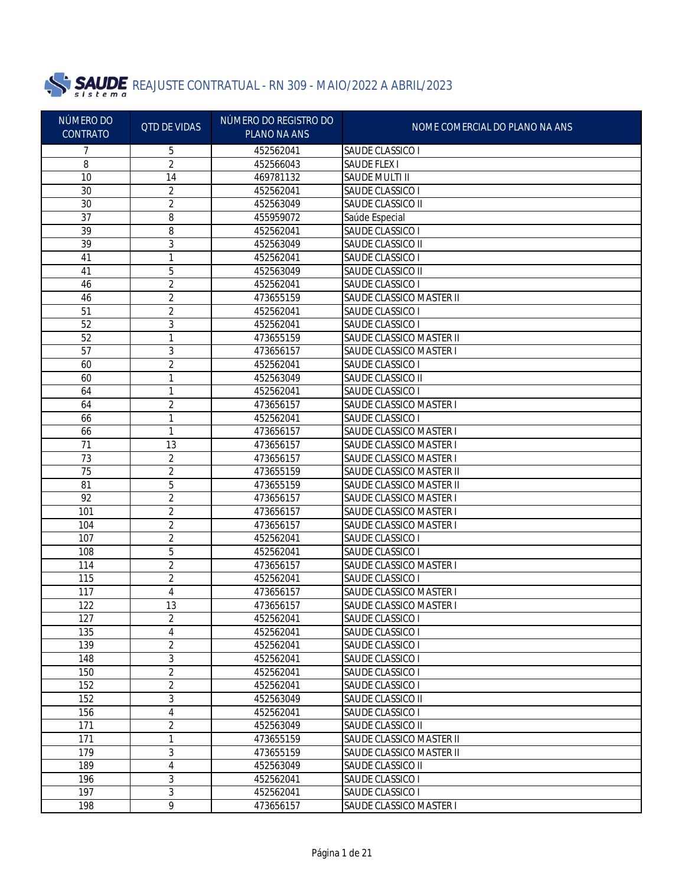

| SAUDE CLASSICO I<br>5<br>452562041<br>2<br>8<br><b>SAUDE FLEX I</b><br>452566043<br>10<br>14<br>469781132<br>SAUDE MULTI II<br>30<br>$\overline{2}$<br>SAUDE CLASSICO I<br>452562041<br>$\overline{2}$<br>30<br>SAUDE CLASSICO II<br>452563049<br>$\overline{37}$<br>8<br>455959072<br>Saúde Especial<br>39<br>8<br>452562041<br>SAUDE CLASSICO I<br>39<br>3<br>452563049<br>SAUDE CLASSICO II<br>41<br>1<br>452562041<br>SAUDE CLASSICO I<br>5<br>41<br>452563049<br>SAUDE CLASSICO II<br>46<br>2<br>452562041<br>SAUDE CLASSICO I<br>46<br>2<br>473655159<br>SAUDE CLASSICO MASTER II<br>51<br>2<br>452562041<br>SAUDE CLASSICO I<br>52<br>3<br>452562041<br>SAUDE CLASSICO I<br>52<br>1<br>473655159<br>SAUDE CLASSICO MASTER II<br>57<br>3<br>SAUDE CLASSICO MASTER I<br>473656157<br>60<br>2<br>452562041<br>SAUDE CLASSICO I<br>60<br>1<br>452563049<br>SAUDE CLASSICO II<br>64<br>1<br>452562041<br>SAUDE CLASSICO I<br>64<br>2<br>473656157<br><b>SAUDE CLASSICO MASTER I</b><br>SAUDE CLASSICO I<br>66<br>1<br>452562041<br>66<br>1<br><b>SAUDE CLASSICO MASTER I</b><br>473656157<br>71<br>13<br><b>SAUDE CLASSICO MASTER I</b><br>473656157<br>73<br>2<br>SAUDE CLASSICO MASTER I<br>473656157<br>75<br>2<br>SAUDE CLASSICO MASTER II<br>473655159<br>81<br>5<br>SAUDE CLASSICO MASTER II<br>473655159<br>92<br>2<br>SAUDE CLASSICO MASTER I<br>473656157<br>101<br>2<br><b>SAUDE CLASSICO MASTER I</b><br>473656157<br>10 <sub>4</sub><br>2<br>SAUDE CLASSICO MASTER I<br>473656157<br>$\overline{2}$<br>107<br>SAUDE CLASSICO I<br>452562041<br>5<br>108<br>SAUDE CLASSICO I<br>452562041<br>2<br>114<br>SAUDE CLASSICO MASTER I<br>473656157<br>$\overline{2}$<br>115<br>SAUDE CLASSICO I<br>452562041<br>117<br>4<br>SAUDE CLASSICO MASTER I<br>473656157<br>122<br>13<br>SAUDE CLASSICO MASTER I<br>473656157<br>2<br>452562041<br>127<br>SAUDE CLASSICO I<br>4<br>135<br>452562041<br>SAUDE CLASSICO I<br>2<br>139<br>452562041<br><b>SAUDE CLASSICO I</b><br>3<br>148<br>SAUDE CLASSICO I<br>452562041<br>$\overline{2}$<br>150<br>452562041<br>SAUDE CLASSICO I<br>2<br>152<br>452562041<br>SAUDE CLASSICO I<br>3<br>152<br>452563049<br>SAUDE CLASSICO II<br>4<br>156<br>452562041<br>SAUDE CLASSICO I<br>2<br>171<br>452563049<br>SAUDE CLASSICO II<br>171<br>1<br>473655159<br>SAUDE CLASSICO MASTER II<br>3<br>179<br>SAUDE CLASSICO MASTER II<br>473655159<br>4<br>SAUDE CLASSICO II<br>189<br>452563049<br>3<br>SAUDE CLASSICO I<br>196<br>452562041<br>3<br>197<br>SAUDE CLASSICO I<br>452562041<br>9<br>198<br>473656157<br>SAUDE CLASSICO MASTER I | NÚMERO DO<br><b>CONTRATO</b> | <b>QTD DE VIDAS</b> | NÚMERO DO REGISTRO DO<br><b>PLANO NA ANS</b> | NOME COMERCIAL DO PLANO NA ANS |
|--------------------------------------------------------------------------------------------------------------------------------------------------------------------------------------------------------------------------------------------------------------------------------------------------------------------------------------------------------------------------------------------------------------------------------------------------------------------------------------------------------------------------------------------------------------------------------------------------------------------------------------------------------------------------------------------------------------------------------------------------------------------------------------------------------------------------------------------------------------------------------------------------------------------------------------------------------------------------------------------------------------------------------------------------------------------------------------------------------------------------------------------------------------------------------------------------------------------------------------------------------------------------------------------------------------------------------------------------------------------------------------------------------------------------------------------------------------------------------------------------------------------------------------------------------------------------------------------------------------------------------------------------------------------------------------------------------------------------------------------------------------------------------------------------------------------------------------------------------------------------------------------------------------------------------------------------------------------------------------------------------------------------------------------------------------------------------------------------------------------------------------------------------------------------------------------------------------------------------------------------------------------------------------------------------------------------------------------------------------------------------------------------------------------------------------------------------------------------------------------------------------------------------------------------------------------------------|------------------------------|---------------------|----------------------------------------------|--------------------------------|
|                                                                                                                                                                                                                                                                                                                                                                                                                                                                                                                                                                                                                                                                                                                                                                                                                                                                                                                                                                                                                                                                                                                                                                                                                                                                                                                                                                                                                                                                                                                                                                                                                                                                                                                                                                                                                                                                                                                                                                                                                                                                                                                                                                                                                                                                                                                                                                                                                                                                                                                                                                                |                              |                     |                                              |                                |
|                                                                                                                                                                                                                                                                                                                                                                                                                                                                                                                                                                                                                                                                                                                                                                                                                                                                                                                                                                                                                                                                                                                                                                                                                                                                                                                                                                                                                                                                                                                                                                                                                                                                                                                                                                                                                                                                                                                                                                                                                                                                                                                                                                                                                                                                                                                                                                                                                                                                                                                                                                                |                              |                     |                                              |                                |
|                                                                                                                                                                                                                                                                                                                                                                                                                                                                                                                                                                                                                                                                                                                                                                                                                                                                                                                                                                                                                                                                                                                                                                                                                                                                                                                                                                                                                                                                                                                                                                                                                                                                                                                                                                                                                                                                                                                                                                                                                                                                                                                                                                                                                                                                                                                                                                                                                                                                                                                                                                                |                              |                     |                                              |                                |
|                                                                                                                                                                                                                                                                                                                                                                                                                                                                                                                                                                                                                                                                                                                                                                                                                                                                                                                                                                                                                                                                                                                                                                                                                                                                                                                                                                                                                                                                                                                                                                                                                                                                                                                                                                                                                                                                                                                                                                                                                                                                                                                                                                                                                                                                                                                                                                                                                                                                                                                                                                                |                              |                     |                                              |                                |
|                                                                                                                                                                                                                                                                                                                                                                                                                                                                                                                                                                                                                                                                                                                                                                                                                                                                                                                                                                                                                                                                                                                                                                                                                                                                                                                                                                                                                                                                                                                                                                                                                                                                                                                                                                                                                                                                                                                                                                                                                                                                                                                                                                                                                                                                                                                                                                                                                                                                                                                                                                                |                              |                     |                                              |                                |
|                                                                                                                                                                                                                                                                                                                                                                                                                                                                                                                                                                                                                                                                                                                                                                                                                                                                                                                                                                                                                                                                                                                                                                                                                                                                                                                                                                                                                                                                                                                                                                                                                                                                                                                                                                                                                                                                                                                                                                                                                                                                                                                                                                                                                                                                                                                                                                                                                                                                                                                                                                                |                              |                     |                                              |                                |
|                                                                                                                                                                                                                                                                                                                                                                                                                                                                                                                                                                                                                                                                                                                                                                                                                                                                                                                                                                                                                                                                                                                                                                                                                                                                                                                                                                                                                                                                                                                                                                                                                                                                                                                                                                                                                                                                                                                                                                                                                                                                                                                                                                                                                                                                                                                                                                                                                                                                                                                                                                                |                              |                     |                                              |                                |
|                                                                                                                                                                                                                                                                                                                                                                                                                                                                                                                                                                                                                                                                                                                                                                                                                                                                                                                                                                                                                                                                                                                                                                                                                                                                                                                                                                                                                                                                                                                                                                                                                                                                                                                                                                                                                                                                                                                                                                                                                                                                                                                                                                                                                                                                                                                                                                                                                                                                                                                                                                                |                              |                     |                                              |                                |
|                                                                                                                                                                                                                                                                                                                                                                                                                                                                                                                                                                                                                                                                                                                                                                                                                                                                                                                                                                                                                                                                                                                                                                                                                                                                                                                                                                                                                                                                                                                                                                                                                                                                                                                                                                                                                                                                                                                                                                                                                                                                                                                                                                                                                                                                                                                                                                                                                                                                                                                                                                                |                              |                     |                                              |                                |
|                                                                                                                                                                                                                                                                                                                                                                                                                                                                                                                                                                                                                                                                                                                                                                                                                                                                                                                                                                                                                                                                                                                                                                                                                                                                                                                                                                                                                                                                                                                                                                                                                                                                                                                                                                                                                                                                                                                                                                                                                                                                                                                                                                                                                                                                                                                                                                                                                                                                                                                                                                                |                              |                     |                                              |                                |
|                                                                                                                                                                                                                                                                                                                                                                                                                                                                                                                                                                                                                                                                                                                                                                                                                                                                                                                                                                                                                                                                                                                                                                                                                                                                                                                                                                                                                                                                                                                                                                                                                                                                                                                                                                                                                                                                                                                                                                                                                                                                                                                                                                                                                                                                                                                                                                                                                                                                                                                                                                                |                              |                     |                                              |                                |
|                                                                                                                                                                                                                                                                                                                                                                                                                                                                                                                                                                                                                                                                                                                                                                                                                                                                                                                                                                                                                                                                                                                                                                                                                                                                                                                                                                                                                                                                                                                                                                                                                                                                                                                                                                                                                                                                                                                                                                                                                                                                                                                                                                                                                                                                                                                                                                                                                                                                                                                                                                                |                              |                     |                                              |                                |
|                                                                                                                                                                                                                                                                                                                                                                                                                                                                                                                                                                                                                                                                                                                                                                                                                                                                                                                                                                                                                                                                                                                                                                                                                                                                                                                                                                                                                                                                                                                                                                                                                                                                                                                                                                                                                                                                                                                                                                                                                                                                                                                                                                                                                                                                                                                                                                                                                                                                                                                                                                                |                              |                     |                                              |                                |
|                                                                                                                                                                                                                                                                                                                                                                                                                                                                                                                                                                                                                                                                                                                                                                                                                                                                                                                                                                                                                                                                                                                                                                                                                                                                                                                                                                                                                                                                                                                                                                                                                                                                                                                                                                                                                                                                                                                                                                                                                                                                                                                                                                                                                                                                                                                                                                                                                                                                                                                                                                                |                              |                     |                                              |                                |
|                                                                                                                                                                                                                                                                                                                                                                                                                                                                                                                                                                                                                                                                                                                                                                                                                                                                                                                                                                                                                                                                                                                                                                                                                                                                                                                                                                                                                                                                                                                                                                                                                                                                                                                                                                                                                                                                                                                                                                                                                                                                                                                                                                                                                                                                                                                                                                                                                                                                                                                                                                                |                              |                     |                                              |                                |
|                                                                                                                                                                                                                                                                                                                                                                                                                                                                                                                                                                                                                                                                                                                                                                                                                                                                                                                                                                                                                                                                                                                                                                                                                                                                                                                                                                                                                                                                                                                                                                                                                                                                                                                                                                                                                                                                                                                                                                                                                                                                                                                                                                                                                                                                                                                                                                                                                                                                                                                                                                                |                              |                     |                                              |                                |
|                                                                                                                                                                                                                                                                                                                                                                                                                                                                                                                                                                                                                                                                                                                                                                                                                                                                                                                                                                                                                                                                                                                                                                                                                                                                                                                                                                                                                                                                                                                                                                                                                                                                                                                                                                                                                                                                                                                                                                                                                                                                                                                                                                                                                                                                                                                                                                                                                                                                                                                                                                                |                              |                     |                                              |                                |
|                                                                                                                                                                                                                                                                                                                                                                                                                                                                                                                                                                                                                                                                                                                                                                                                                                                                                                                                                                                                                                                                                                                                                                                                                                                                                                                                                                                                                                                                                                                                                                                                                                                                                                                                                                                                                                                                                                                                                                                                                                                                                                                                                                                                                                                                                                                                                                                                                                                                                                                                                                                |                              |                     |                                              |                                |
|                                                                                                                                                                                                                                                                                                                                                                                                                                                                                                                                                                                                                                                                                                                                                                                                                                                                                                                                                                                                                                                                                                                                                                                                                                                                                                                                                                                                                                                                                                                                                                                                                                                                                                                                                                                                                                                                                                                                                                                                                                                                                                                                                                                                                                                                                                                                                                                                                                                                                                                                                                                |                              |                     |                                              |                                |
|                                                                                                                                                                                                                                                                                                                                                                                                                                                                                                                                                                                                                                                                                                                                                                                                                                                                                                                                                                                                                                                                                                                                                                                                                                                                                                                                                                                                                                                                                                                                                                                                                                                                                                                                                                                                                                                                                                                                                                                                                                                                                                                                                                                                                                                                                                                                                                                                                                                                                                                                                                                |                              |                     |                                              |                                |
|                                                                                                                                                                                                                                                                                                                                                                                                                                                                                                                                                                                                                                                                                                                                                                                                                                                                                                                                                                                                                                                                                                                                                                                                                                                                                                                                                                                                                                                                                                                                                                                                                                                                                                                                                                                                                                                                                                                                                                                                                                                                                                                                                                                                                                                                                                                                                                                                                                                                                                                                                                                |                              |                     |                                              |                                |
|                                                                                                                                                                                                                                                                                                                                                                                                                                                                                                                                                                                                                                                                                                                                                                                                                                                                                                                                                                                                                                                                                                                                                                                                                                                                                                                                                                                                                                                                                                                                                                                                                                                                                                                                                                                                                                                                                                                                                                                                                                                                                                                                                                                                                                                                                                                                                                                                                                                                                                                                                                                |                              |                     |                                              |                                |
|                                                                                                                                                                                                                                                                                                                                                                                                                                                                                                                                                                                                                                                                                                                                                                                                                                                                                                                                                                                                                                                                                                                                                                                                                                                                                                                                                                                                                                                                                                                                                                                                                                                                                                                                                                                                                                                                                                                                                                                                                                                                                                                                                                                                                                                                                                                                                                                                                                                                                                                                                                                |                              |                     |                                              |                                |
|                                                                                                                                                                                                                                                                                                                                                                                                                                                                                                                                                                                                                                                                                                                                                                                                                                                                                                                                                                                                                                                                                                                                                                                                                                                                                                                                                                                                                                                                                                                                                                                                                                                                                                                                                                                                                                                                                                                                                                                                                                                                                                                                                                                                                                                                                                                                                                                                                                                                                                                                                                                |                              |                     |                                              |                                |
|                                                                                                                                                                                                                                                                                                                                                                                                                                                                                                                                                                                                                                                                                                                                                                                                                                                                                                                                                                                                                                                                                                                                                                                                                                                                                                                                                                                                                                                                                                                                                                                                                                                                                                                                                                                                                                                                                                                                                                                                                                                                                                                                                                                                                                                                                                                                                                                                                                                                                                                                                                                |                              |                     |                                              |                                |
|                                                                                                                                                                                                                                                                                                                                                                                                                                                                                                                                                                                                                                                                                                                                                                                                                                                                                                                                                                                                                                                                                                                                                                                                                                                                                                                                                                                                                                                                                                                                                                                                                                                                                                                                                                                                                                                                                                                                                                                                                                                                                                                                                                                                                                                                                                                                                                                                                                                                                                                                                                                |                              |                     |                                              |                                |
|                                                                                                                                                                                                                                                                                                                                                                                                                                                                                                                                                                                                                                                                                                                                                                                                                                                                                                                                                                                                                                                                                                                                                                                                                                                                                                                                                                                                                                                                                                                                                                                                                                                                                                                                                                                                                                                                                                                                                                                                                                                                                                                                                                                                                                                                                                                                                                                                                                                                                                                                                                                |                              |                     |                                              |                                |
|                                                                                                                                                                                                                                                                                                                                                                                                                                                                                                                                                                                                                                                                                                                                                                                                                                                                                                                                                                                                                                                                                                                                                                                                                                                                                                                                                                                                                                                                                                                                                                                                                                                                                                                                                                                                                                                                                                                                                                                                                                                                                                                                                                                                                                                                                                                                                                                                                                                                                                                                                                                |                              |                     |                                              |                                |
|                                                                                                                                                                                                                                                                                                                                                                                                                                                                                                                                                                                                                                                                                                                                                                                                                                                                                                                                                                                                                                                                                                                                                                                                                                                                                                                                                                                                                                                                                                                                                                                                                                                                                                                                                                                                                                                                                                                                                                                                                                                                                                                                                                                                                                                                                                                                                                                                                                                                                                                                                                                |                              |                     |                                              |                                |
|                                                                                                                                                                                                                                                                                                                                                                                                                                                                                                                                                                                                                                                                                                                                                                                                                                                                                                                                                                                                                                                                                                                                                                                                                                                                                                                                                                                                                                                                                                                                                                                                                                                                                                                                                                                                                                                                                                                                                                                                                                                                                                                                                                                                                                                                                                                                                                                                                                                                                                                                                                                |                              |                     |                                              |                                |
|                                                                                                                                                                                                                                                                                                                                                                                                                                                                                                                                                                                                                                                                                                                                                                                                                                                                                                                                                                                                                                                                                                                                                                                                                                                                                                                                                                                                                                                                                                                                                                                                                                                                                                                                                                                                                                                                                                                                                                                                                                                                                                                                                                                                                                                                                                                                                                                                                                                                                                                                                                                |                              |                     |                                              |                                |
|                                                                                                                                                                                                                                                                                                                                                                                                                                                                                                                                                                                                                                                                                                                                                                                                                                                                                                                                                                                                                                                                                                                                                                                                                                                                                                                                                                                                                                                                                                                                                                                                                                                                                                                                                                                                                                                                                                                                                                                                                                                                                                                                                                                                                                                                                                                                                                                                                                                                                                                                                                                |                              |                     |                                              |                                |
|                                                                                                                                                                                                                                                                                                                                                                                                                                                                                                                                                                                                                                                                                                                                                                                                                                                                                                                                                                                                                                                                                                                                                                                                                                                                                                                                                                                                                                                                                                                                                                                                                                                                                                                                                                                                                                                                                                                                                                                                                                                                                                                                                                                                                                                                                                                                                                                                                                                                                                                                                                                |                              |                     |                                              |                                |
|                                                                                                                                                                                                                                                                                                                                                                                                                                                                                                                                                                                                                                                                                                                                                                                                                                                                                                                                                                                                                                                                                                                                                                                                                                                                                                                                                                                                                                                                                                                                                                                                                                                                                                                                                                                                                                                                                                                                                                                                                                                                                                                                                                                                                                                                                                                                                                                                                                                                                                                                                                                |                              |                     |                                              |                                |
|                                                                                                                                                                                                                                                                                                                                                                                                                                                                                                                                                                                                                                                                                                                                                                                                                                                                                                                                                                                                                                                                                                                                                                                                                                                                                                                                                                                                                                                                                                                                                                                                                                                                                                                                                                                                                                                                                                                                                                                                                                                                                                                                                                                                                                                                                                                                                                                                                                                                                                                                                                                |                              |                     |                                              |                                |
|                                                                                                                                                                                                                                                                                                                                                                                                                                                                                                                                                                                                                                                                                                                                                                                                                                                                                                                                                                                                                                                                                                                                                                                                                                                                                                                                                                                                                                                                                                                                                                                                                                                                                                                                                                                                                                                                                                                                                                                                                                                                                                                                                                                                                                                                                                                                                                                                                                                                                                                                                                                |                              |                     |                                              |                                |
|                                                                                                                                                                                                                                                                                                                                                                                                                                                                                                                                                                                                                                                                                                                                                                                                                                                                                                                                                                                                                                                                                                                                                                                                                                                                                                                                                                                                                                                                                                                                                                                                                                                                                                                                                                                                                                                                                                                                                                                                                                                                                                                                                                                                                                                                                                                                                                                                                                                                                                                                                                                |                              |                     |                                              |                                |
|                                                                                                                                                                                                                                                                                                                                                                                                                                                                                                                                                                                                                                                                                                                                                                                                                                                                                                                                                                                                                                                                                                                                                                                                                                                                                                                                                                                                                                                                                                                                                                                                                                                                                                                                                                                                                                                                                                                                                                                                                                                                                                                                                                                                                                                                                                                                                                                                                                                                                                                                                                                |                              |                     |                                              |                                |
|                                                                                                                                                                                                                                                                                                                                                                                                                                                                                                                                                                                                                                                                                                                                                                                                                                                                                                                                                                                                                                                                                                                                                                                                                                                                                                                                                                                                                                                                                                                                                                                                                                                                                                                                                                                                                                                                                                                                                                                                                                                                                                                                                                                                                                                                                                                                                                                                                                                                                                                                                                                |                              |                     |                                              |                                |
|                                                                                                                                                                                                                                                                                                                                                                                                                                                                                                                                                                                                                                                                                                                                                                                                                                                                                                                                                                                                                                                                                                                                                                                                                                                                                                                                                                                                                                                                                                                                                                                                                                                                                                                                                                                                                                                                                                                                                                                                                                                                                                                                                                                                                                                                                                                                                                                                                                                                                                                                                                                |                              |                     |                                              |                                |
|                                                                                                                                                                                                                                                                                                                                                                                                                                                                                                                                                                                                                                                                                                                                                                                                                                                                                                                                                                                                                                                                                                                                                                                                                                                                                                                                                                                                                                                                                                                                                                                                                                                                                                                                                                                                                                                                                                                                                                                                                                                                                                                                                                                                                                                                                                                                                                                                                                                                                                                                                                                |                              |                     |                                              |                                |
|                                                                                                                                                                                                                                                                                                                                                                                                                                                                                                                                                                                                                                                                                                                                                                                                                                                                                                                                                                                                                                                                                                                                                                                                                                                                                                                                                                                                                                                                                                                                                                                                                                                                                                                                                                                                                                                                                                                                                                                                                                                                                                                                                                                                                                                                                                                                                                                                                                                                                                                                                                                |                              |                     |                                              |                                |
|                                                                                                                                                                                                                                                                                                                                                                                                                                                                                                                                                                                                                                                                                                                                                                                                                                                                                                                                                                                                                                                                                                                                                                                                                                                                                                                                                                                                                                                                                                                                                                                                                                                                                                                                                                                                                                                                                                                                                                                                                                                                                                                                                                                                                                                                                                                                                                                                                                                                                                                                                                                |                              |                     |                                              |                                |
|                                                                                                                                                                                                                                                                                                                                                                                                                                                                                                                                                                                                                                                                                                                                                                                                                                                                                                                                                                                                                                                                                                                                                                                                                                                                                                                                                                                                                                                                                                                                                                                                                                                                                                                                                                                                                                                                                                                                                                                                                                                                                                                                                                                                                                                                                                                                                                                                                                                                                                                                                                                |                              |                     |                                              |                                |
|                                                                                                                                                                                                                                                                                                                                                                                                                                                                                                                                                                                                                                                                                                                                                                                                                                                                                                                                                                                                                                                                                                                                                                                                                                                                                                                                                                                                                                                                                                                                                                                                                                                                                                                                                                                                                                                                                                                                                                                                                                                                                                                                                                                                                                                                                                                                                                                                                                                                                                                                                                                |                              |                     |                                              |                                |
|                                                                                                                                                                                                                                                                                                                                                                                                                                                                                                                                                                                                                                                                                                                                                                                                                                                                                                                                                                                                                                                                                                                                                                                                                                                                                                                                                                                                                                                                                                                                                                                                                                                                                                                                                                                                                                                                                                                                                                                                                                                                                                                                                                                                                                                                                                                                                                                                                                                                                                                                                                                |                              |                     |                                              |                                |
|                                                                                                                                                                                                                                                                                                                                                                                                                                                                                                                                                                                                                                                                                                                                                                                                                                                                                                                                                                                                                                                                                                                                                                                                                                                                                                                                                                                                                                                                                                                                                                                                                                                                                                                                                                                                                                                                                                                                                                                                                                                                                                                                                                                                                                                                                                                                                                                                                                                                                                                                                                                |                              |                     |                                              |                                |
|                                                                                                                                                                                                                                                                                                                                                                                                                                                                                                                                                                                                                                                                                                                                                                                                                                                                                                                                                                                                                                                                                                                                                                                                                                                                                                                                                                                                                                                                                                                                                                                                                                                                                                                                                                                                                                                                                                                                                                                                                                                                                                                                                                                                                                                                                                                                                                                                                                                                                                                                                                                |                              |                     |                                              |                                |
|                                                                                                                                                                                                                                                                                                                                                                                                                                                                                                                                                                                                                                                                                                                                                                                                                                                                                                                                                                                                                                                                                                                                                                                                                                                                                                                                                                                                                                                                                                                                                                                                                                                                                                                                                                                                                                                                                                                                                                                                                                                                                                                                                                                                                                                                                                                                                                                                                                                                                                                                                                                |                              |                     |                                              |                                |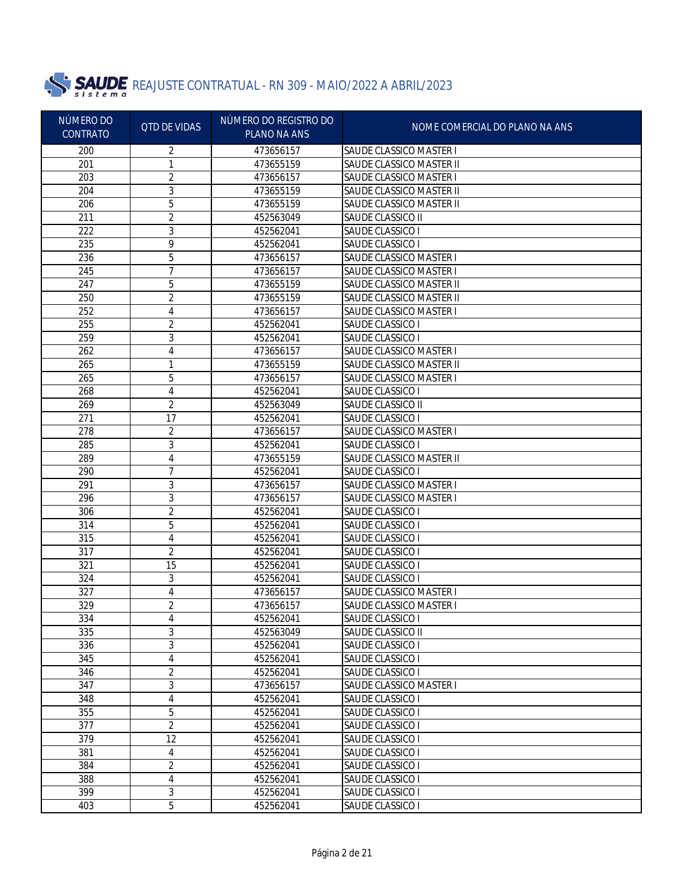

| NÚMERO DO<br><b>CONTRATO</b> | <b>QTD DE VIDAS</b> | NÚMERO DO REGISTRO DO<br>PLANO NA ANS | NOME COMERCIAL DO PLANO NA ANS        |
|------------------------------|---------------------|---------------------------------------|---------------------------------------|
| 200                          | 2                   | 473656157                             | <b>SAUDE CLASSICO MASTER I</b>        |
| 201                          | 1                   | 473655159                             | SAUDE CLASSICO MASTER II              |
| 203                          | 2                   | 473656157                             | SAUDE CLASSICO MASTER I               |
| 204                          | 3                   | 473655159                             | SAUDE CLASSICO MASTER II              |
| 206                          | 5                   | 473655159                             | SAUDE CLASSICO MASTER II              |
| 211                          | 2                   | 452563049                             | SAUDE CLASSICO II                     |
| 222                          | 3                   | 452562041                             | SAUDE CLASSICO I                      |
| 235                          | 9                   | 452562041                             | SAUDE CLASSICO I                      |
| 236                          | 5                   | 473656157                             | <b>SAUDE CLASSICO MASTER I</b>        |
| 245                          | 7                   | 473656157                             | SAUDE CLASSICO MASTER I               |
| 247                          | 5                   | 473655159                             | SAUDE CLASSICO MASTER II              |
| 250                          | 2                   | 473655159                             | SAUDE CLASSICO MASTER II              |
| 252                          | 4                   | 473656157                             | SAUDE CLASSICO MASTER I               |
| 255                          | 2                   | 452562041                             | SAUDE CLASSICO I                      |
| 259                          | 3                   | 452562041                             | SAUDE CLASSICO I                      |
| 262                          | 4                   | 473656157                             | <b>SAUDE CLASSICO MASTER I</b>        |
| 265                          | 1                   | 473655159                             | SAUDE CLASSICO MASTER II              |
| 265                          | 5                   | 473656157                             | SAUDE CLASSICO MASTER I               |
| 268                          | 4                   | 452562041                             | SAUDE CLASSICO I                      |
| 269                          | 2                   | 452563049                             | SAUDE CLASSICO II                     |
| 271                          | 17                  | 452562041                             | SAUDE CLASSICO I                      |
| 278                          | 2                   | 473656157                             | SAUDE CLASSICO MASTER I               |
| 285                          | 3                   | 452562041                             | SAUDE CLASSICO I                      |
| 289                          | 4                   | 473655159                             | SAUDE CLASSICO MASTER II              |
| 290                          | $\overline{7}$      | 452562041                             | SAUDE CLASSICO I                      |
| 291                          | 3                   | 473656157                             | <b>SAUDE CLASSICO MASTER I</b>        |
| 296                          | 3                   | 473656157                             | SAUDE CLASSICO MASTER I               |
| 306                          | $\overline{2}$      | 452562041                             | SAUDE CLASSICO I                      |
| 314                          | 5                   | 452562041                             | SAUDE CLASSICO I                      |
| 315                          | 4                   | 452562041                             | SAUDE CLASSICO I                      |
| 317                          | 2                   | 452562041                             | SAUDE CLASSICO I                      |
| 321                          | 15                  | 452562041                             | SAUDE CLASSICO I                      |
| 324                          | 3                   | 452562041                             | SAUDE CLASSICO I                      |
| 327                          | 4                   | 473656157                             | SAUDE CLASSICO MASTER I               |
| 329                          | 2                   | 473656157                             | <b>SAUDE CLASSICO MASTER I</b>        |
| 334                          | 4                   | 452562041                             | SAUDE CLASSICO I                      |
| 335<br>336                   | 3<br>3              | 452563049<br>452562041                | SAUDE CLASSICO II<br>SAUDE CLASSICO I |
| 345                          | 4                   | 452562041                             | SAUDE CLASSICO I                      |
| 346                          | 2                   | 452562041                             | SAUDE CLASSICO I                      |
| 347                          | 3                   | 473656157                             | SAUDE CLASSICO MASTER I               |
| 348                          | 4                   | 452562041                             | SAUDE CLASSICO I                      |
| 355                          | 5                   | 452562041                             | SAUDE CLASSICO I                      |
| 377                          | $\overline{2}$      | 452562041                             | SAUDE CLASSICO I                      |
| 379                          | 12                  | 452562041                             | SAUDE CLASSICO I                      |
| 381                          | 4                   | 452562041                             | SAUDE CLASSICO I                      |
| 384                          | $\overline{2}$      | 452562041                             | SAUDE CLASSICO I                      |
| 388                          | 4                   | 452562041                             | SAUDE CLASSICO I                      |
| 399                          | 3                   | 452562041                             | SAUDE CLASSICO I                      |
| 403                          | 5                   | 452562041                             | SAUDE CLASSICO I                      |
|                              |                     |                                       |                                       |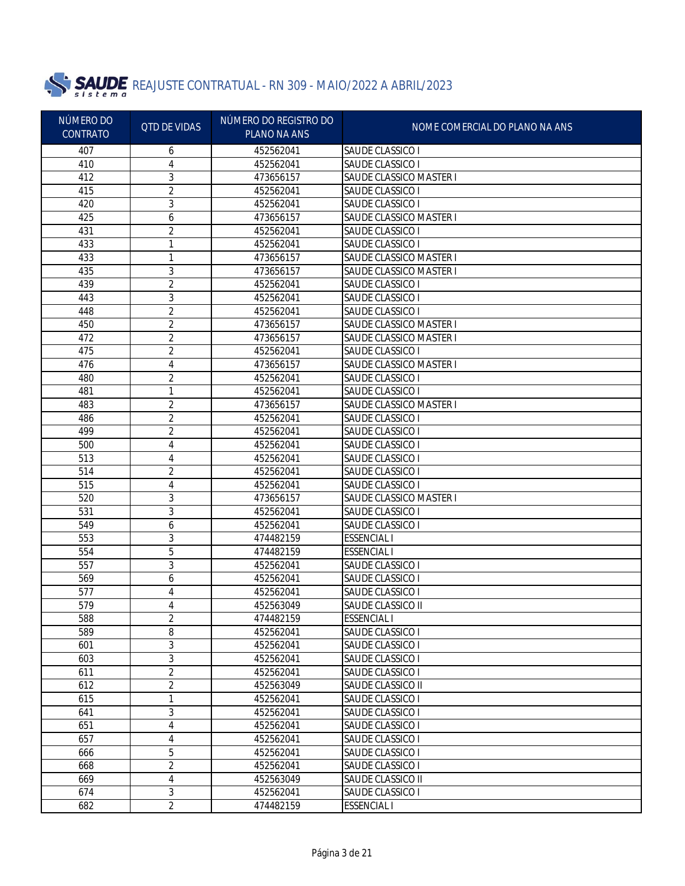

| NÚMERO DO       | <b>QTD DE VIDAS</b> | NÚMERO DO REGISTRO DO | NOME COMERCIAL DO PLANO NA ANS |
|-----------------|---------------------|-----------------------|--------------------------------|
| <b>CONTRATO</b> |                     | PLANO NA ANS          |                                |
| 407             | 6                   | 452562041             | SAUDE CLASSICO I               |
| 410             | 4                   | 452562041             | SAUDE CLASSICO I               |
| 412             | 3                   | 473656157             | SAUDE CLASSICO MASTER I        |
| 415             | $\overline{2}$      | 452562041             | SAUDE CLASSICO I               |
| 420             | 3                   | 452562041             | SAUDE CLASSICO I               |
| 425             | 6                   | 473656157             | SAUDE CLASSICO MASTER I        |
| 431             | 2                   | 452562041             | SAUDE CLASSICO I               |
| 433             | 1                   | 452562041             | SAUDE CLASSICO I               |
| 433             | 1                   | 473656157             | <b>SAUDE CLASSICO MASTER I</b> |
| 435             | 3                   | 473656157             | <b>SAUDE CLASSICO MASTER I</b> |
| 439             | 2                   | 452562041             | SAUDE CLASSICO I               |
| 443             | 3                   | 452562041             | SAUDE CLASSICO I               |
| 448             | $\overline{2}$      | 452562041             | SAUDE CLASSICO I               |
| 450             | 2                   | 473656157             | SAUDE CLASSICO MASTER I        |
| 472             | 2                   | 473656157             | SAUDE CLASSICO MASTER I        |
| 475             | 2                   | 452562041             | SAUDE CLASSICO I               |
| 476             | 4                   | 473656157             | SAUDE CLASSICO MASTER I        |
| 480             | 2                   | 452562041             | SAUDE CLASSICO I               |
| 481             | 1                   | 452562041             | SAUDE CLASSICO I               |
| 483             | 2                   | 473656157             | SAUDE CLASSICO MASTER I        |
| 486             | 2                   | 452562041             | SAUDE CLASSICO I               |
| 499             | 2                   | 452562041             | SAUDE CLASSICO I               |
| 500             | 4                   | 452562041             | SAUDE CLASSICO I               |
| 513             | 4                   | 452562041             | SAUDE CLASSICO I               |
| 514             | 2                   | 452562041             | SAUDE CLASSICO I               |
| 515             | 4                   | 452562041             | SAUDE CLASSICO I               |
| 520             | 3                   | 473656157             | SAUDE CLASSICO MASTER I        |
| 531             | 3                   | 452562041             | SAUDE CLASSICO I               |
| 549             | 6                   | 452562041             | SAUDE CLASSICO I               |
| 553             | 3                   | 474482159             | <b>ESSENCIAL I</b>             |
| 554             | 5                   | 474482159             | <b>ESSENCIAL I</b>             |
| 557             | 3                   | 452562041             | SAUDE CLASSICO I               |
| 569             | 6                   | 452562041             | SAUDE CLASSICO I               |
| 577             | 4                   | 452562041             | SAUDE CLASSICO I               |
| 579             | 4                   | 452563049             | SAUDE CLASSICO II              |
| 588             | 2                   | 474482159             | <b>ESSENCIAL I</b>             |
| 589             | 8                   | 452562041             | SAUDE CLASSICO I               |
| 601             | 3                   | 452562041             | SAUDE CLASSICO I               |
| 603             | $\overline{3}$      | 452562041             | SAUDE CLASSICO I               |
| 611             | $\overline{2}$      | 452562041             | SAUDE CLASSICO I               |
| 612             | $\overline{2}$      | 452563049             | SAUDE CLASSICO II              |
| 615             | 1                   | 452562041             | SAUDE CLASSICO I               |
| 641             | $\mathfrak{Z}$      | 452562041             | SAUDE CLASSICO I               |
| 651             | 4                   | 452562041             | SAUDE CLASSICO I               |
| 657             | 4                   | 452562041             | SAUDE CLASSICO I               |
| 666             | 5                   | 452562041             | SAUDE CLASSICO I               |
| 668             | $\overline{2}$      | 452562041             | SAUDE CLASSICO I               |
| 669             | $\sqrt{4}$          | 452563049             | SAUDE CLASSICO II              |
| 674             | 3                   | 452562041             | SAUDE CLASSICO I               |
| 682             | $\overline{2}$      | 474482159             | <b>ESSENCIAL I</b>             |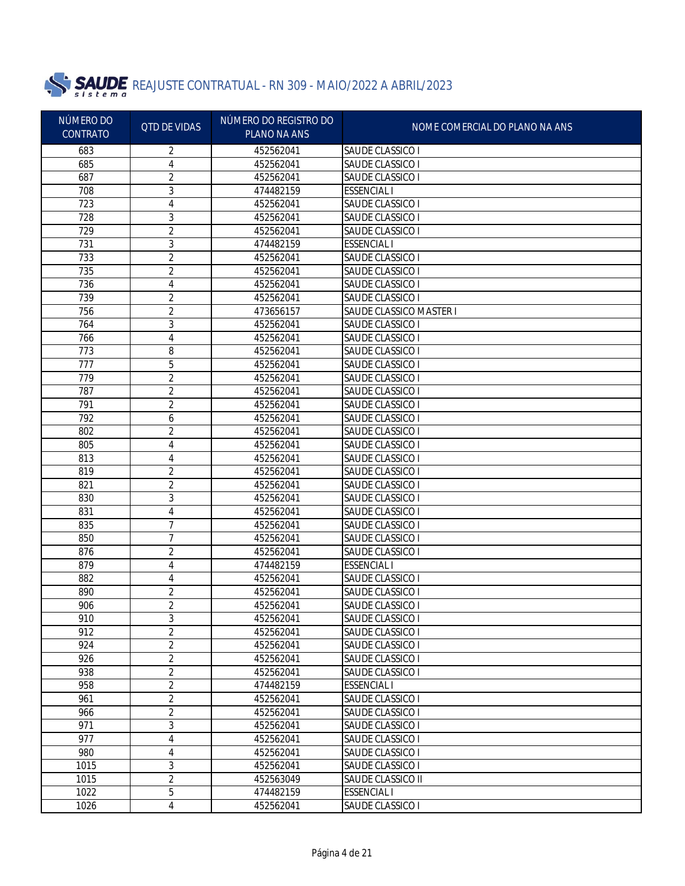

| NÚMERO DO<br><b>CONTRATO</b> | <b>QTD DE VIDAS</b> | NÚMERO DO REGISTRO DO<br><b>PLANO NA ANS</b> | NOME COMERCIAL DO PLANO NA ANS        |
|------------------------------|---------------------|----------------------------------------------|---------------------------------------|
| 683                          | 2                   | 452562041                                    | SAUDE CLASSICO I                      |
| 685                          | 4                   | 452562041                                    | SAUDE CLASSICO I                      |
| 687                          | 2                   | 452562041                                    | SAUDE CLASSICO I                      |
| 708                          | 3                   | 474482159                                    | <b>ESSENCIAL I</b>                    |
| 723                          | 4                   | 452562041                                    | SAUDE CLASSICO I                      |
| 728                          | 3                   | 452562041                                    | SAUDE CLASSICO I                      |
| 729                          | 2                   | 452562041                                    | SAUDE CLASSICO I                      |
| 731                          | 3                   | 474482159                                    | <b>ESSENCIAL I</b>                    |
| 733                          | 2                   | 452562041                                    | SAUDE CLASSICO I                      |
| 735                          | 2                   | 452562041                                    | SAUDE CLASSICO I                      |
| 736                          | 4                   | 452562041                                    | SAUDE CLASSICO I                      |
| 739                          | 2                   | 452562041                                    | SAUDE CLASSICO I                      |
| 756                          | 2                   | 473656157                                    | SAUDE CLASSICO MASTER I               |
| 764                          | 3                   | 452562041                                    | SAUDE CLASSICO I                      |
| 766                          | 4                   | 452562041                                    | SAUDE CLASSICO I                      |
| 773                          | 8                   | 452562041                                    | SAUDE CLASSICO I                      |
| 777                          | 5                   | 452562041                                    | SAUDE CLASSICO I                      |
| 779                          | 2                   | 452562041                                    | SAUDE CLASSICO I                      |
| 787                          | 2                   | 452562041                                    | SAUDE CLASSICO I                      |
| 791                          | 2                   | 452562041                                    | SAUDE CLASSICO I                      |
| 792                          | 6                   | 452562041                                    | SAUDE CLASSICO I                      |
| 802                          | 2                   | 452562041                                    | SAUDE CLASSICO I                      |
| 805                          | 4                   | 452562041                                    | SAUDE CLASSICO I                      |
| 813                          | 4                   | 452562041                                    | SAUDE CLASSICO I                      |
| 819                          | 2                   | 452562041                                    | SAUDE CLASSICO I                      |
| 821                          | $\overline{2}$      | 452562041                                    | SAUDE CLASSICO I                      |
| 830                          | 3                   | 452562041                                    | SAUDE CLASSICO I                      |
| 831                          | 4                   | 452562041                                    | SAUDE CLASSICO I                      |
| 835                          | 7                   | 452562041                                    | SAUDE CLASSICO I                      |
| 850                          | 7                   | 452562041                                    | SAUDE CLASSICO I                      |
| 876                          | 2                   | 452562041                                    | SAUDE CLASSICO I                      |
| 879                          | 4                   | 474482159                                    | <b>ESSENCIAL I</b>                    |
| 882                          | 4                   | 452562041                                    | SAUDE CLASSICO I                      |
| 890                          | 2                   | 452562041                                    | SAUDE CLASSICO I                      |
| 906                          | 2                   | 452562041                                    | SAUDE CLASSICO I                      |
| 910                          | 3                   | 452562041                                    | SAUDE CLASSICO I                      |
| 912                          | 2                   | 452562041                                    | SAUDE CLASSICO I                      |
| 924                          | $\overline{c}$      | 452562041                                    | SAUDE CLASSICO I                      |
| 926                          | 2                   | 452562041                                    | SAUDE CLASSICO I                      |
| 938                          | 2                   | 452562041                                    | <b>SAUDE CLASSICO I</b>               |
| 958                          | 2                   | 474482159                                    | <b>ESSENCIAL I</b>                    |
| 961                          | $\overline{c}$      | 452562041                                    | SAUDE CLASSICO I                      |
| 966                          | 2                   | 452562041                                    | SAUDE CLASSICO I                      |
| 971                          | 3                   | 452562041                                    | SAUDE CLASSICO I                      |
| 977                          | 4                   | 452562041                                    | SAUDE CLASSICO I                      |
| 980                          | 4                   | 452562041                                    | <b>SAUDE CLASSICO I</b>               |
| 1015<br>1015                 | 3<br>$\overline{2}$ | 452562041                                    | SAUDE CLASSICO I<br>SAUDE CLASSICO II |
| 1022                         | 5                   | 452563049                                    | <b>ESSENCIAL I</b>                    |
|                              | 4                   | 474482159                                    | SAUDE CLASSICO I                      |
| 1026                         |                     | 452562041                                    |                                       |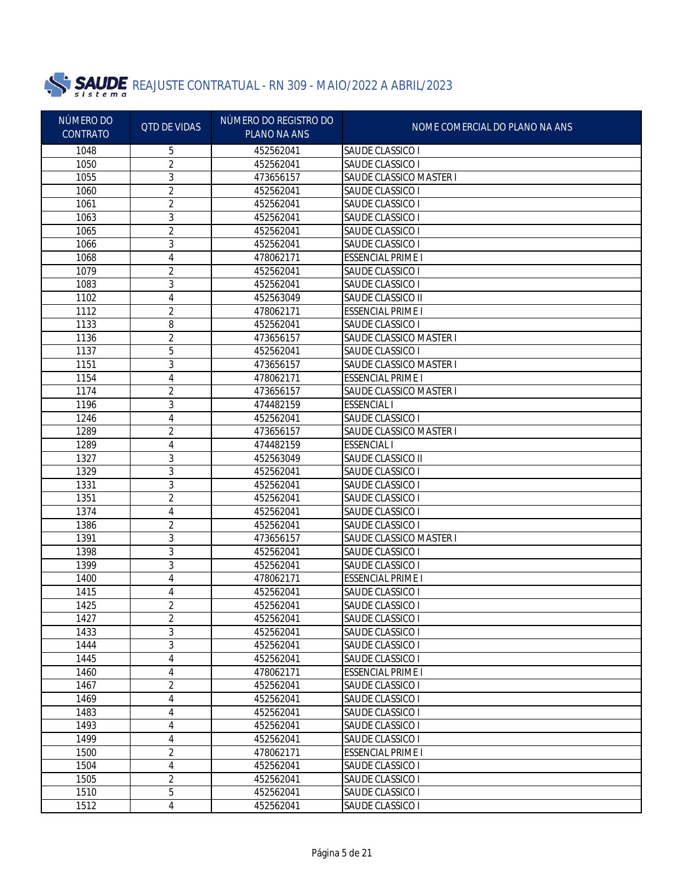

| NÚMERO DO<br><b>CONTRATO</b> | <b>QTD DE VIDAS</b> | NÚMERO DO REGISTRO DO<br>PLANO NA ANS | NOME COMERCIAL DO PLANO NA ANS                     |
|------------------------------|---------------------|---------------------------------------|----------------------------------------------------|
| 1048                         | 5                   | 452562041                             | <b>SAUDE CLASSICO I</b>                            |
| 1050                         | $\overline{2}$      | 452562041                             | SAUDE CLASSICO I                                   |
| 1055                         | 3                   | 473656157                             | SAUDE CLASSICO MASTER I                            |
| 1060                         | 2                   | 452562041                             | SAUDE CLASSICO I                                   |
| 1061                         | 2                   | 452562041                             | SAUDE CLASSICO I                                   |
| 1063                         | 3                   | 452562041                             | SAUDE CLASSICO I                                   |
| 1065                         | 2                   | 452562041                             | SAUDE CLASSICO I                                   |
| 1066                         | 3                   | 452562041                             | SAUDE CLASSICO I                                   |
| 1068                         | 4                   | 478062171                             | <b>ESSENCIAL PRIME I</b>                           |
| 1079                         | 2                   | 452562041                             | SAUDE CLASSICO I                                   |
| 1083                         | 3                   | 452562041                             | SAUDE CLASSICO I                                   |
| 1102                         | 4                   | 452563049                             | SAUDE CLASSICO II                                  |
| 1112                         | 2                   | 478062171                             | <b>ESSENCIAL PRIME I</b>                           |
| 1133                         | 8                   | 452562041                             | SAUDE CLASSICO I                                   |
| 1136                         | 2                   | 473656157                             | <b>SAUDE CLASSICO MASTER I</b>                     |
| 1137                         | 5                   | 452562041                             | SAUDE CLASSICO I                                   |
| 1151                         | 3                   | 473656157                             | SAUDE CLASSICO MASTER I                            |
| 1154                         | 4                   | 478062171                             | <b>ESSENCIAL PRIME I</b>                           |
| 1174                         | 2                   | 473656157                             | SAUDE CLASSICO MASTER I                            |
| 1196                         | 3                   | 474482159                             | <b>ESSENCIAL I</b>                                 |
| 1246                         | 4                   | 452562041                             | SAUDE CLASSICO I                                   |
| 1289                         | 2                   | 473656157                             | <b>SAUDE CLASSICO MASTER I</b>                     |
| 1289                         | 4                   | 474482159                             | <b>ESSENCIAL I</b>                                 |
| 1327                         | 3                   | 452563049                             | SAUDE CLASSICO II                                  |
| 1329                         | 3                   | 452562041                             | SAUDE CLASSICO I                                   |
| 1331                         | 3                   | 452562041                             | SAUDE CLASSICO I                                   |
| 1351                         | $\overline{2}$      | 452562041                             | SAUDE CLASSICO I                                   |
| 1374                         | 4                   | 452562041                             | SAUDE CLASSICO I                                   |
| 1386                         | 2                   | 452562041                             | SAUDE CLASSICO I                                   |
| 1391                         | 3                   | 473656157                             | SAUDE CLASSICO MASTER I                            |
| 1398                         | 3                   | 452562041                             | SAUDE CLASSICO I                                   |
| 1399                         | 3                   | 452562041                             | SAUDE CLASSICO I                                   |
| 1400                         | 4                   | 478062171                             | <b>ESSENCIAL PRIME I</b>                           |
| 1415                         | 4                   | 452562041                             | SAUDE CLASSICO I                                   |
| 1425                         | 2                   | 452562041                             | SAUDE CLASSICO I                                   |
| 1427                         | 2                   | 452562041                             | SAUDE CLASSICO I                                   |
| 1433                         | 3                   | 452562041                             | SAUDE CLASSICO I                                   |
| 1444                         | 3                   | 452562041                             | <b>SAUDE CLASSICO I</b>                            |
| 1445                         | 4                   | 452562041                             | <b>SAUDE CLASSICO I</b>                            |
| 1460                         | 4                   | 478062171                             | <b>ESSENCIAL PRIME I</b>                           |
| 1467                         | 2                   | 452562041                             | <b>SAUDE CLASSICO I</b>                            |
| 1469                         | 4                   | 452562041                             | SAUDE CLASSICO I                                   |
| 1483                         | 4                   | 452562041                             | SAUDE CLASSICO I                                   |
| 1493<br>1499                 | 4<br>4              | 452562041<br>452562041                | <b>SAUDE CLASSICO I</b><br><b>SAUDE CLASSICO I</b> |
| 1500                         | $\overline{2}$      | 478062171                             | <b>ESSENCIAL PRIME I</b>                           |
| 1504                         | 4                   | 452562041                             | <b>SAUDE CLASSICO I</b>                            |
| 1505                         | $\overline{2}$      | 452562041                             | SAUDE CLASSICO I                                   |
| 1510                         | 5                   | 452562041                             | SAUDE CLASSICO I                                   |
| 1512                         | 4                   | 452562041                             | SAUDE CLASSICO I                                   |
|                              |                     |                                       |                                                    |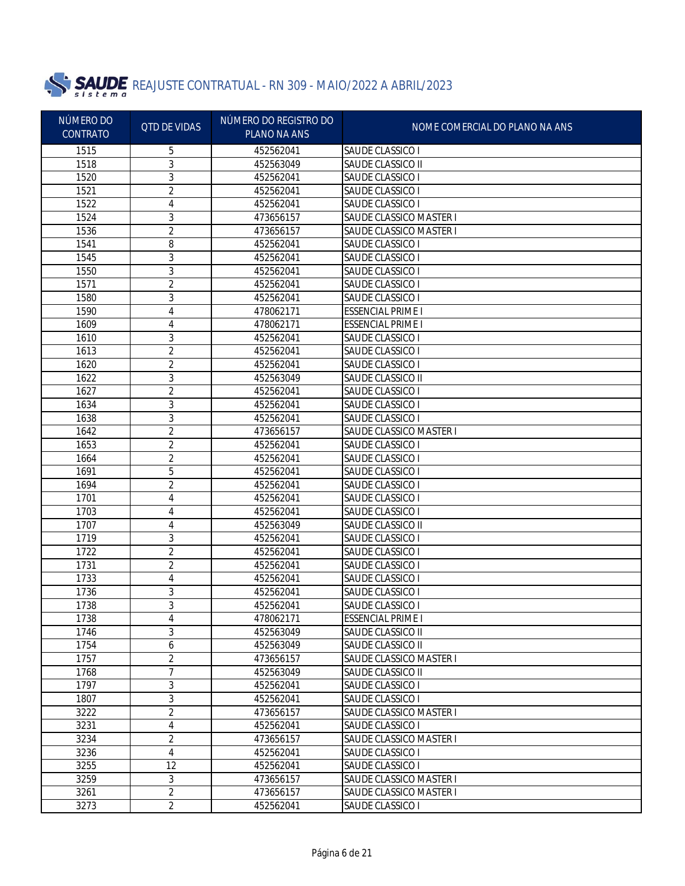

| NÚMERO DO<br><b>CONTRATO</b> | <b>QTD DE VIDAS</b> | NÚMERO DO REGISTRO DO<br>PLANO NA ANS | NOME COMERCIAL DO PLANO NA ANS                     |
|------------------------------|---------------------|---------------------------------------|----------------------------------------------------|
|                              |                     |                                       |                                                    |
| 1515<br>1518                 | 5                   | 452562041                             | <b>SAUDE CLASSICO I</b>                            |
|                              | 3                   | 452563049                             | SAUDE CLASSICO II                                  |
| 1520                         | 3                   | 452562041                             | SAUDE CLASSICO I                                   |
| 1521                         | 2                   | 452562041                             | SAUDE CLASSICO I                                   |
| 1522<br>1524                 | 4                   | 452562041                             | SAUDE CLASSICO I<br>SAUDE CLASSICO MASTER I        |
|                              | 3                   | 473656157                             |                                                    |
| 1536                         | 2                   | 473656157                             | SAUDE CLASSICO MASTER I                            |
| 1541                         | 8                   | 452562041                             | SAUDE CLASSICO I                                   |
| 1545                         | 3                   | 452562041                             | SAUDE CLASSICO I                                   |
| 1550<br>1571                 | 3                   | 452562041                             | SAUDE CLASSICO I                                   |
| 1580                         | 2                   | 452562041                             | SAUDE CLASSICO I                                   |
|                              | 3                   | 452562041                             | SAUDE CLASSICO I                                   |
| 1590                         | 4                   | 478062171                             | <b>ESSENCIAL PRIME I</b>                           |
| 1609                         | 4                   | 478062171                             | <b>ESSENCIAL PRIME I</b>                           |
| 1610                         | 3                   | 452562041<br>452562041                | SAUDE CLASSICO I                                   |
| 1613                         | 2                   |                                       | SAUDE CLASSICO I                                   |
| 1620                         | 2                   | 452562041                             | SAUDE CLASSICO I                                   |
| 1622                         | 3                   | 452563049                             | SAUDE CLASSICO II                                  |
| 1627                         | 2                   | 452562041                             | SAUDE CLASSICO I                                   |
| 1634                         | 3                   | 452562041                             | SAUDE CLASSICO I                                   |
| 1638<br>1642                 | 3                   | 452562041<br>473656157                | SAUDE CLASSICO I<br><b>SAUDE CLASSICO MASTER I</b> |
| 1653                         | 2                   |                                       |                                                    |
| 1664                         | 2                   | 452562041                             | SAUDE CLASSICO I                                   |
| 1691                         | 2                   | 452562041<br>452562041                | SAUDE CLASSICO I                                   |
|                              | 5                   |                                       | SAUDE CLASSICO I                                   |
| 1694                         | 2                   | 452562041                             | SAUDE CLASSICO I                                   |
| 1701<br>1703                 | 4                   | 452562041<br>452562041                | SAUDE CLASSICO I                                   |
| 1707                         | 4                   | 452563049                             | SAUDE CLASSICO I                                   |
| 1719                         | 4<br>3              | 452562041                             | SAUDE CLASSICO II<br>SAUDE CLASSICO I              |
| 1722                         | $\overline{2}$      | 452562041                             | SAUDE CLASSICO I                                   |
| 1731                         | 2                   | 452562041                             | SAUDE CLASSICO I                                   |
| 1733                         | 4                   | 452562041                             | SAUDE CLASSICO I                                   |
| 1736                         | 3                   | 452562041                             | SAUDE CLASSICO I                                   |
| 1738                         | 3                   | 452562041                             | SAUDE CLASSICO I                                   |
| 1738                         |                     | 478062171                             | <b>ESSENCIAL PRIME I</b>                           |
| 1746                         | 4<br>3              | 452563049                             | SAUDE CLASSICO II                                  |
| 1754                         | 6                   | 452563049                             | SAUDE CLASSICO II                                  |
| 1757                         | 2                   | 473656157                             | SAUDE CLASSICO MASTER I                            |
| 1768                         | 7                   | 452563049                             | SAUDE CLASSICO II                                  |
| 1797                         | 3                   | 452562041                             | SAUDE CLASSICO I                                   |
| 1807                         | 3                   | 452562041                             | SAUDE CLASSICO I                                   |
| 3222                         | 2                   | 473656157                             | <b>SAUDE CLASSICO MASTER I</b>                     |
| 3231                         | 4                   | 452562041                             | SAUDE CLASSICO I                                   |
| 3234                         | 2                   | 473656157                             | SAUDE CLASSICO MASTER I                            |
| 3236                         | 4                   | 452562041                             | SAUDE CLASSICO I                                   |
| 3255                         | 12                  | 452562041                             | SAUDE CLASSICO I                                   |
| 3259                         | 3                   | 473656157                             | SAUDE CLASSICO MASTER I                            |
| 3261                         | $\overline{2}$      | 473656157                             | SAUDE CLASSICO MASTER I                            |
| 3273                         | $\overline{2}$      | 452562041                             | SAUDE CLASSICO I                                   |
|                              |                     |                                       |                                                    |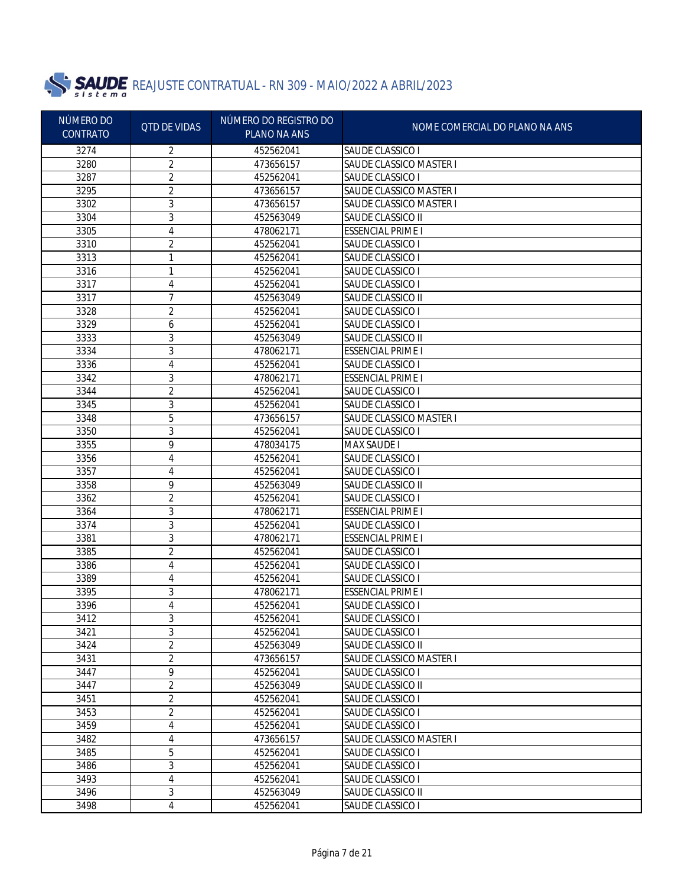

| NÚMERO DO<br><b>CONTRATO</b> | <b>QTD DE VIDAS</b> | NÚMERO DO REGISTRO DO<br>PLANO NA ANS | NOME COMERCIAL DO PLANO NA ANS |
|------------------------------|---------------------|---------------------------------------|--------------------------------|
| 3274                         | 2                   | 452562041                             | SAUDE CLASSICO I               |
| 3280                         | 2                   | 473656157                             | <b>SAUDE CLASSICO MASTER I</b> |
| 3287                         | 2                   | 452562041                             | SAUDE CLASSICO I               |
| 3295                         | 2                   | 473656157                             | <b>SAUDE CLASSICO MASTER I</b> |
| 3302                         | 3                   | 473656157                             | SAUDE CLASSICO MASTER I        |
| 3304                         | 3                   | 452563049                             | SAUDE CLASSICO II              |
| 3305                         | 4                   | 478062171                             | <b>ESSENCIAL PRIME I</b>       |
| 3310                         | 2                   | 452562041                             | SAUDE CLASSICO I               |
| 3313                         | 1                   | 452562041                             | SAUDE CLASSICO I               |
| 3316                         | 1                   | 452562041                             | SAUDE CLASSICO I               |
| 3317                         | 4                   | 452562041                             | SAUDE CLASSICO I               |
| 3317                         | $\overline{7}$      | 452563049                             | SAUDE CLASSICO II              |
| 3328                         | 2                   | 452562041                             | SAUDE CLASSICO I               |
| 3329                         | 6                   | 452562041                             | SAUDE CLASSICO I               |
| 3333                         | 3                   | 452563049                             | SAUDE CLASSICO II              |
| 3334                         | 3                   | 478062171                             | <b>ESSENCIAL PRIME I</b>       |
| 3336                         | 4                   | 452562041                             | SAUDE CLASSICO I               |
| 3342                         | 3                   | 478062171                             | <b>ESSENCIAL PRIME I</b>       |
| 3344                         | 2                   | 452562041                             | SAUDE CLASSICO I               |
| 3345                         | 3                   | 452562041                             | SAUDE CLASSICO I               |
| 3348                         | 5                   | 473656157                             | <b>SAUDE CLASSICO MASTER I</b> |
| 3350                         | 3                   | 452562041                             | SAUDE CLASSICO I               |
| 3355                         | 9                   | 478034175                             | <b>MAX SAUDE I</b>             |
| 3356                         | 4                   | 452562041                             | SAUDE CLASSICO I               |
| 3357                         | 4                   | 452562041                             | SAUDE CLASSICO I               |
| 3358                         | 9                   | 452563049                             | SAUDE CLASSICO II              |
| 3362                         | $\overline{2}$      | 452562041                             | SAUDE CLASSICO I               |
| 3364                         | 3                   | 478062171                             | <b>ESSENCIAL PRIME I</b>       |
| 3374                         | 3                   | 452562041                             | SAUDE CLASSICO I               |
| 3381                         | 3                   | 478062171                             | <b>ESSENCIAL PRIME I</b>       |
| 3385                         | 2                   | 452562041                             | SAUDE CLASSICO I               |
| 3386                         | 4                   | 452562041                             | SAUDE CLASSICO I               |
| 3389                         | 4                   | 452562041                             | SAUDE CLASSICO I               |
| 3395                         | 3                   | 478062171                             | <b>ESSENCIAL PRIME I</b>       |
| 3396                         | 4                   | 452562041                             | SAUDE CLASSICO I               |
| 3412                         | 3                   | 452562041                             | SAUDE CLASSICO I               |
| 3421                         | 3                   | 452562041                             | SAUDE CLASSICO I               |
| 3424                         | 2                   | 452563049                             | SAUDE CLASSICO II              |
| 3431                         | 2                   | 473656157                             | SAUDE CLASSICO MASTER I        |
| 3447                         | 9                   | 452562041                             | SAUDE CLASSICO I               |
| 3447                         | 2                   | 452563049                             | SAUDE CLASSICO II              |
| 3451                         | 2                   | 452562041                             | SAUDE CLASSICO I               |
| 3453                         | $\overline{2}$      | 452562041                             | SAUDE CLASSICO I               |
| 3459                         | 4                   | 452562041                             | SAUDE CLASSICO I               |
| 3482                         | 4                   | 473656157                             | SAUDE CLASSICO MASTER I        |
| 3485                         | 5                   | 452562041                             | SAUDE CLASSICO I               |
| 3486                         | $\sqrt{3}$          | 452562041                             | SAUDE CLASSICO I               |
| 3493                         | 4                   | 452562041                             | SAUDE CLASSICO I               |
| 3496                         | 3                   | 452563049                             | SAUDE CLASSICO II              |
| 3498                         | 4                   | 452562041                             | SAUDE CLASSICO I               |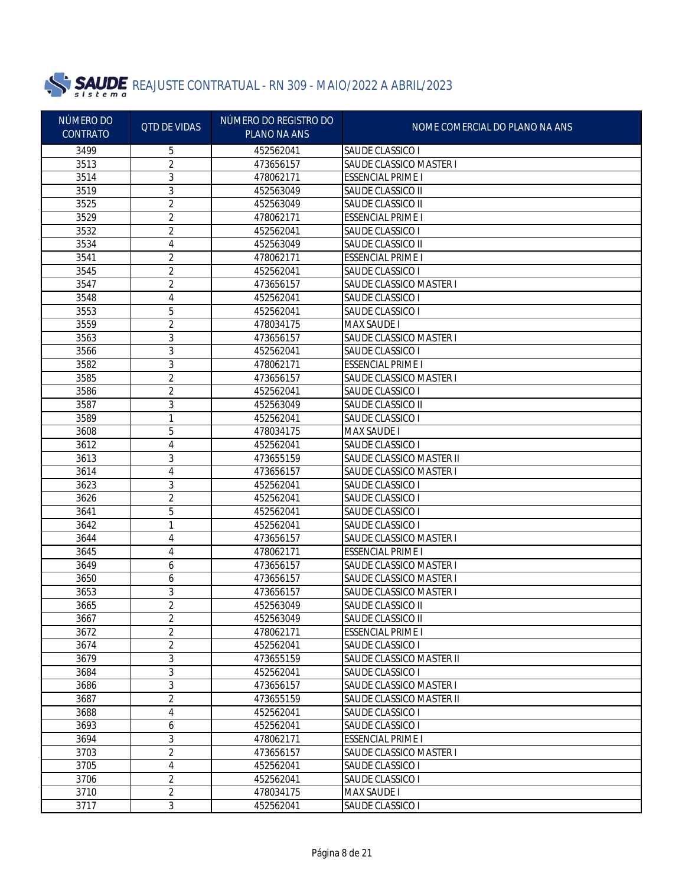

| NÚMERO DO<br><b>CONTRATO</b> | <b>QTD DE VIDAS</b> | NÚMERO DO REGISTRO DO<br>PLANO NA ANS | NOME COMERCIAL DO PLANO NA ANS |
|------------------------------|---------------------|---------------------------------------|--------------------------------|
| 3499                         | 5                   | 452562041                             | SAUDE CLASSICO I               |
| 3513                         | 2                   | 473656157                             | SAUDE CLASSICO MASTER I        |
| 3514                         | 3                   | 478062171                             | <b>ESSENCIAL PRIME I</b>       |
| 3519                         | 3                   | 452563049                             | SAUDE CLASSICO II              |
| 3525                         | $\overline{2}$      | 452563049                             | SAUDE CLASSICO II              |
| 3529                         | $\overline{2}$      | 478062171                             | <b>ESSENCIAL PRIME I</b>       |
| 3532                         | 2                   | 452562041                             | SAUDE CLASSICO I               |
| 3534                         | 4                   | 452563049                             | SAUDE CLASSICO II              |
| 3541                         | 2                   | 478062171                             | <b>ESSENCIAL PRIME I</b>       |
| 3545                         | 2                   | 452562041                             | SAUDE CLASSICO I               |
| 3547                         | 2                   | 473656157                             | SAUDE CLASSICO MASTER I        |
| 3548                         | 4                   | 452562041                             | SAUDE CLASSICO I               |
| 3553                         | 5                   | 452562041                             | SAUDE CLASSICO I               |
| 3559                         | 2                   | 478034175                             | <b>MAX SAUDE I</b>             |
| 3563                         | 3                   | 473656157                             | SAUDE CLASSICO MASTER I        |
| 3566                         | 3                   | 452562041                             | SAUDE CLASSICO I               |
| 3582                         | 3                   | 478062171                             | <b>ESSENCIAL PRIME I</b>       |
| 3585                         | 2                   | 473656157                             | SAUDE CLASSICO MASTER I        |
| 3586                         | $\overline{2}$      | 452562041                             | SAUDE CLASSICO I               |
| 3587                         | 3                   | 452563049                             | SAUDE CLASSICO II              |
| 3589                         | 1                   | 452562041                             | SAUDE CLASSICO I               |
| 3608                         | 5                   | 478034175                             | <b>MAX SAUDE I</b>             |
| 3612                         | 4                   | 452562041                             | SAUDE CLASSICO I               |
| 3613                         | 3                   | 473655159                             | SAUDE CLASSICO MASTER II       |
| 3614                         | 4                   | 473656157                             | SAUDE CLASSICO MASTER I        |
| 3623                         | 3                   | 452562041                             | SAUDE CLASSICO I               |
| 3626                         | $\overline{2}$      | 452562041                             | SAUDE CLASSICO I               |
| 3641                         | 5                   | 452562041                             | SAUDE CLASSICO I               |
| 3642                         | 1                   | 452562041                             | SAUDE CLASSICO I               |
| 3644                         | 4                   | 473656157                             | <b>SAUDE CLASSICO MASTER I</b> |
| 3645                         | 4                   | 478062171                             | <b>ESSENCIAL PRIME I</b>       |
| 3649                         | 6                   | 473656157                             | SAUDE CLASSICO MASTER I        |
| 3650                         | 6                   | 473656157                             | SAUDE CLASSICO MASTER I        |
| 3653                         | 3                   | 473656157                             | SAUDE CLASSICO MASTER I        |
| 3665                         | 2                   | 452563049                             | SAUDE CLASSICO II              |
| 3667                         | 2                   | 452563049                             | SAUDE CLASSICO II              |
| 3672                         | 2                   | 478062171                             | <b>ESSENCIAL PRIME I</b>       |
| 3674                         | 2                   | 452562041                             | SAUDE CLASSICO I               |
| 3679                         | 3                   | 473655159                             | SAUDE CLASSICO MASTER II       |
| 3684                         | 3                   | 452562041                             | SAUDE CLASSICO I               |
| 3686                         | 3                   | 473656157                             | SAUDE CLASSICO MASTER I        |
| 3687                         | 2                   | 473655159                             | SAUDE CLASSICO MASTER II       |
| 3688                         | 4                   | 452562041                             | SAUDE CLASSICO I               |
| 3693                         | 6                   | 452562041                             | SAUDE CLASSICO I               |
| 3694                         | 3                   | 478062171                             | <b>ESSENCIAL PRIME I</b>       |
| 3703                         | $\overline{2}$      | 473656157                             | SAUDE CLASSICO MASTER I        |
| 3705                         | 4                   | 452562041                             | SAUDE CLASSICO I               |
| 3706                         | $\overline{2}$      | 452562041                             | SAUDE CLASSICO I               |
| 3710                         | $\overline{2}$      | 478034175                             | <b>MAX SAUDE I</b>             |
| 3717                         | 3                   | 452562041                             | SAUDE CLASSICO I               |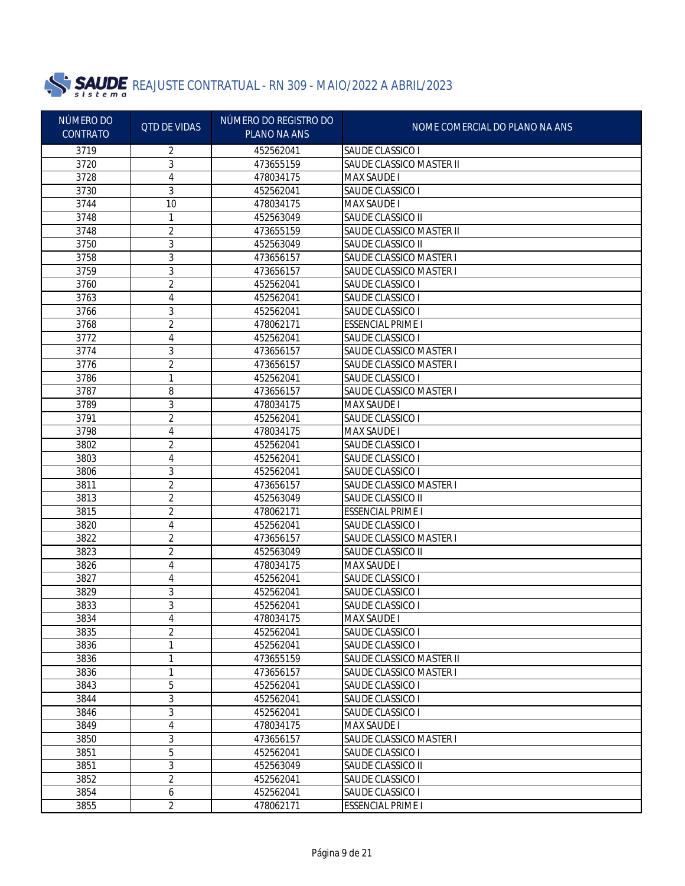

| NÚMERO DO<br><b>CONTRATO</b> | <b>QTD DE VIDAS</b> | NÚMERO DO REGISTRO DO<br>PLANO NA ANS | NOME COMERCIAL DO PLANO NA ANS |
|------------------------------|---------------------|---------------------------------------|--------------------------------|
|                              |                     |                                       |                                |
| 3719                         | 2                   | 452562041                             | SAUDE CLASSICO I               |
| 3720                         | 3                   | 473655159                             | SAUDE CLASSICO MASTER II       |
| 3728                         | 4                   | 478034175                             | <b>MAX SAUDE I</b>             |
| 3730                         | 3                   | 452562041                             | SAUDE CLASSICO I               |
| 3744                         | 10                  | 478034175                             | <b>MAX SAUDE I</b>             |
| 3748                         | 1                   | 452563049                             | SAUDE CLASSICO II              |
| 3748                         | 2                   | 473655159                             | SAUDE CLASSICO MASTER II       |
| 3750                         | 3                   | 452563049                             | SAUDE CLASSICO II              |
| 3758                         | 3                   | 473656157                             | <b>SAUDE CLASSICO MASTER I</b> |
| 3759                         | 3                   | 473656157                             | <b>SAUDE CLASSICO MASTER I</b> |
| 3760                         | 2                   | 452562041                             | SAUDE CLASSICO I               |
| 3763                         | 4                   | 452562041                             | SAUDE CLASSICO I               |
| 3766                         | 3                   | 452562041                             | SAUDE CLASSICO I               |
| 3768                         | 2                   | 478062171                             | <b>ESSENCIAL PRIME I</b>       |
| 3772                         | 4                   | 452562041                             | SAUDE CLASSICO I               |
| 3774                         | 3                   | 473656157                             | SAUDE CLASSICO MASTER I        |
| 3776                         | 2                   | 473656157                             | SAUDE CLASSICO MASTER I        |
| 3786                         | 1                   | 452562041                             | SAUDE CLASSICO I               |
| 3787                         | 8                   | 473656157                             | <b>SAUDE CLASSICO MASTER I</b> |
| 3789                         | 3                   | 478034175                             | <b>MAX SAUDE I</b>             |
| 3791                         | 2                   | 452562041                             | SAUDE CLASSICO I               |
| 3798                         | 4                   | 478034175                             | <b>MAX SAUDE I</b>             |
| 3802                         | 2                   | 452562041                             | SAUDE CLASSICO I               |
| 3803                         | 4                   | 452562041                             | SAUDE CLASSICO I               |
| 3806                         | 3                   | 452562041                             | SAUDE CLASSICO I               |
| 3811                         | 2                   | 473656157                             | SAUDE CLASSICO MASTER I        |
| 3813                         | 2                   | 452563049                             | SAUDE CLASSICO II              |
| 3815                         | 2                   | 478062171                             | <b>ESSENCIAL PRIME I</b>       |
| 3820                         | 4                   | 452562041                             | SAUDE CLASSICO I               |
| 3822                         | 2                   | 473656157                             | SAUDE CLASSICO MASTER I        |
| 3823                         | 2                   | 452563049                             | SAUDE CLASSICO II              |
| 3826                         | 4                   | 478034175                             | <b>MAX SAUDE I</b>             |
| 3827                         | 4                   | 452562041                             | SAUDE CLASSICO I               |
| 3829                         | 3                   | 452562041                             | SAUDE CLASSICO I               |
| 3833                         | 3                   | 452562041                             | SAUDE CLASSICO I               |
| 3834                         | 4                   | 478034175                             | <b>MAX SAUDE I</b>             |
| 3835                         | 2                   | 452562041                             | SAUDE CLASSICO I               |
| 3836                         | 1                   | 452562041                             | SAUDE CLASSICO I               |
| 3836                         | 1                   | 473655159                             | SAUDE CLASSICO MASTER II       |
| 3836                         | 1                   | 473656157                             | SAUDE CLASSICO MASTER I        |
| 3843                         | 5                   | 452562041                             | SAUDE CLASSICO I               |
| 3844                         | $\mathfrak{Z}$      | 452562041                             | SAUDE CLASSICO I               |
| 3846                         | $\mathfrak{Z}$      | 452562041                             | SAUDE CLASSICO I               |
| 3849                         | 4                   | 478034175                             | <b>MAX SAUDE I</b>             |
| 3850                         | 3                   | 473656157                             | SAUDE CLASSICO MASTER I        |
| 3851                         | $\overline{5}$      | 452562041                             | SAUDE CLASSICO I               |
| 3851                         | $\mathfrak{Z}$      | 452563049                             | SAUDE CLASSICO II              |
| 3852                         | $\overline{2}$      | 452562041                             | SAUDE CLASSICO I               |
| 3854                         | 6                   | 452562041                             | SAUDE CLASSICO I               |
| 3855                         | $\overline{2}$      | 478062171                             | <b>ESSENCIAL PRIME I</b>       |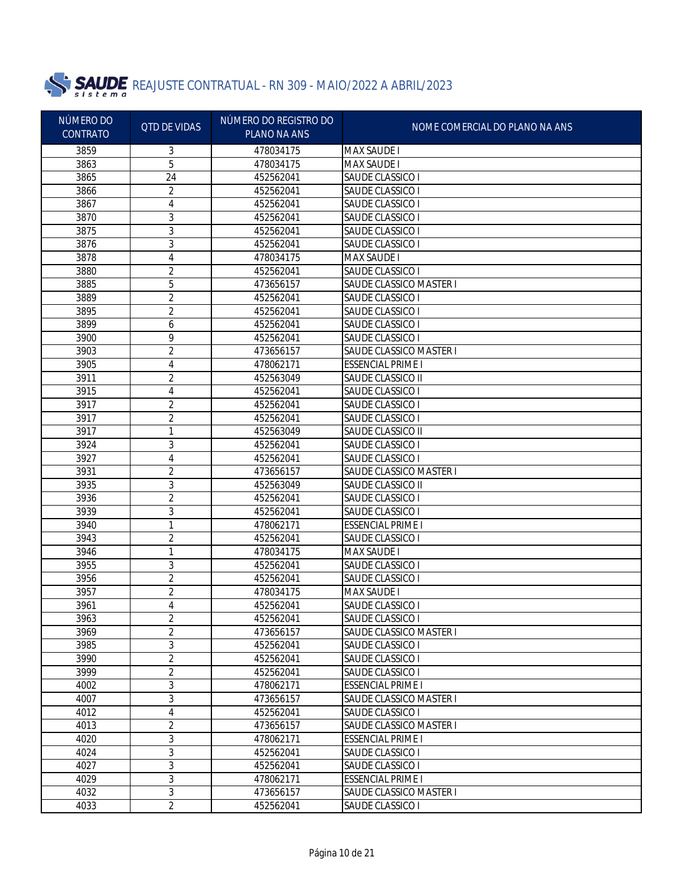

| <b>CONTRATO</b><br>PLANO NA ANS<br>3859<br>3<br>478034175<br><b>MAX SAUDE I</b>                                                   |  |
|-----------------------------------------------------------------------------------------------------------------------------------|--|
|                                                                                                                                   |  |
| 5<br>3863<br><b>MAX SAUDE I</b><br>478034175                                                                                      |  |
| 3865<br>24<br>452562041<br>SAUDE CLASSICO I                                                                                       |  |
| $\overline{2}$<br>3866<br>SAUDE CLASSICO I<br>452562041                                                                           |  |
| 4<br>3867<br>SAUDE CLASSICO I<br>452562041                                                                                        |  |
| 3<br>3870<br>SAUDE CLASSICO I<br>452562041                                                                                        |  |
| 3<br>3875<br>SAUDE CLASSICO I<br>452562041                                                                                        |  |
| 3<br>3876<br>452562041<br>SAUDE CLASSICO I                                                                                        |  |
| 4<br>3878<br><b>MAX SAUDE I</b><br>478034175                                                                                      |  |
| 2<br>3880<br>SAUDE CLASSICO I<br>452562041                                                                                        |  |
| 5<br>SAUDE CLASSICO MASTER I<br>3885<br>473656157                                                                                 |  |
| $\overline{2}$<br>3889<br>SAUDE CLASSICO I<br>452562041                                                                           |  |
| $\overline{2}$<br>3895<br>SAUDE CLASSICO I<br>452562041                                                                           |  |
| 3899<br>6<br>SAUDE CLASSICO I<br>452562041                                                                                        |  |
| 9<br>SAUDE CLASSICO I<br>3900<br>452562041                                                                                        |  |
| $\overline{2}$<br>SAUDE CLASSICO MASTER I<br>3903<br>473656157                                                                    |  |
| 3905<br>4<br><b>ESSENCIAL PRIME I</b><br>478062171                                                                                |  |
| 2<br>3911<br>452563049<br>SAUDE CLASSICO II                                                                                       |  |
| 4<br>3915<br>452562041<br>SAUDE CLASSICO I                                                                                        |  |
| 2<br>3917<br>452562041<br>SAUDE CLASSICO I                                                                                        |  |
| 2<br>SAUDE CLASSICO I<br>3917<br>452562041                                                                                        |  |
| 3917<br>1<br>SAUDE CLASSICO II<br>452563049                                                                                       |  |
| 3<br>3924<br>452562041<br>SAUDE CLASSICO I                                                                                        |  |
| 3927<br>4<br>452562041<br>SAUDE CLASSICO I                                                                                        |  |
| 2<br>3931<br>473656157<br>SAUDE CLASSICO MASTER I                                                                                 |  |
| 3<br>3935<br>452563049<br>SAUDE CLASSICO II                                                                                       |  |
| 2<br>3936<br>452562041<br>SAUDE CLASSICO I                                                                                        |  |
| 3<br>3939<br>452562041<br>SAUDE CLASSICO I                                                                                        |  |
| 3940<br>1<br>478062171<br><b>ESSENCIAL PRIME I</b>                                                                                |  |
| 2<br>3943<br>452562041<br>SAUDE CLASSICO I                                                                                        |  |
| 3946<br>1<br><b>MAX SAUDE I</b><br>478034175                                                                                      |  |
| 3<br>3955<br>452562041<br>SAUDE CLASSICO I                                                                                        |  |
| 2<br>3956<br>SAUDE CLASSICO I<br>452562041                                                                                        |  |
| 2<br>3957<br><b>MAX SAUDE I</b><br>478034175                                                                                      |  |
| 3961<br>4<br>452562041<br>SAUDE CLASSICO I                                                                                        |  |
| 3963<br>2<br>452562041<br>SAUDE CLASSICO I                                                                                        |  |
| 2<br>SAUDE CLASSICO MASTER I<br>3969<br>473656157                                                                                 |  |
| 3<br>3985<br>SAUDE CLASSICO I<br>452562041                                                                                        |  |
| $\overline{2}$<br>3990<br>SAUDE CLASSICO I<br>452562041                                                                           |  |
| $\overline{2}$<br>3999<br>SAUDE CLASSICO I<br>452562041                                                                           |  |
| $\sqrt{3}$<br>4002<br><b>ESSENCIAL PRIME I</b><br>478062171                                                                       |  |
| $\mathfrak{Z}$<br>4007<br>SAUDE CLASSICO MASTER I<br>473656157                                                                    |  |
| 4<br>4012<br>SAUDE CLASSICO I<br>452562041                                                                                        |  |
| $\overline{2}$<br>4013<br>SAUDE CLASSICO MASTER I<br>473656157<br>$\overline{3}$<br>4020<br><b>ESSENCIAL PRIME I</b><br>478062171 |  |
| 3<br>4024<br>SAUDE CLASSICO I<br>452562041                                                                                        |  |
| $\mathfrak{Z}$<br>4027<br>452562041<br>SAUDE CLASSICO I                                                                           |  |
| 3<br>4029<br><b>ESSENCIAL PRIME I</b><br>478062171                                                                                |  |
| 3<br>4032<br>SAUDE CLASSICO MASTER I<br>473656157                                                                                 |  |
| $\overline{2}$<br>4033<br>452562041<br>SAUDE CLASSICO I                                                                           |  |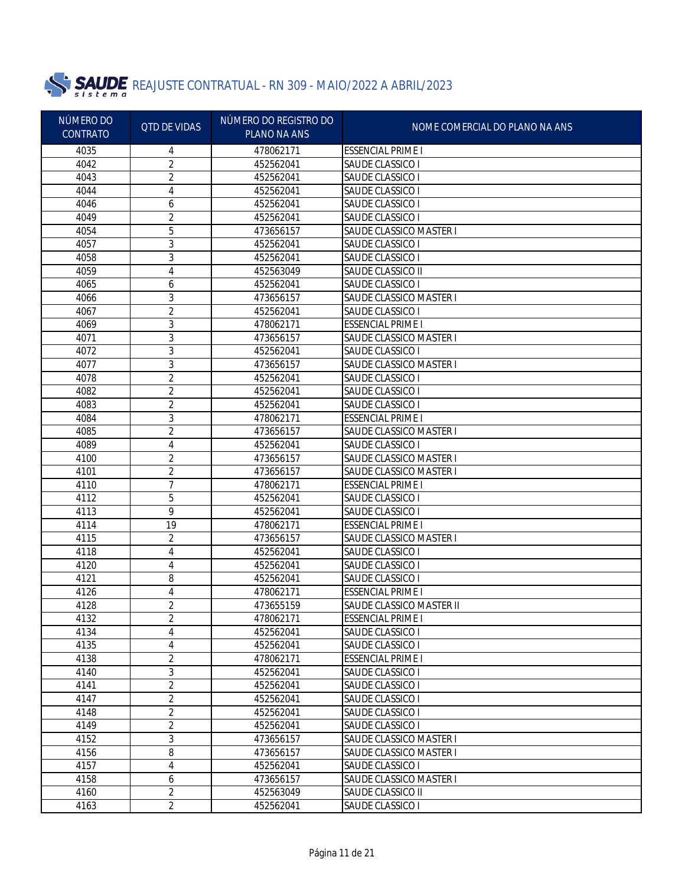

| NÚMERO DO<br><b>CONTRATO</b> | <b>QTD DE VIDAS</b> | NÚMERO DO REGISTRO DO<br>PLANO NA ANS | NOME COMERCIAL DO PLANO NA ANS |
|------------------------------|---------------------|---------------------------------------|--------------------------------|
| 4035                         | 4                   | 478062171                             | <b>ESSENCIAL PRIME I</b>       |
| 4042                         | $\overline{2}$      | 452562041                             | SAUDE CLASSICO I               |
| 4043                         | 2                   | 452562041                             | SAUDE CLASSICO I               |
| 4044                         | 4                   | 452562041                             | SAUDE CLASSICO I               |
| 4046                         | 6                   | 452562041                             | SAUDE CLASSICO I               |
| 4049                         | 2                   | 452562041                             | SAUDE CLASSICO I               |
| 4054                         | 5                   | 473656157                             | SAUDE CLASSICO MASTER I        |
| 4057                         | 3                   | 452562041                             | SAUDE CLASSICO I               |
| 4058                         | 3                   | 452562041                             | SAUDE CLASSICO I               |
| 4059                         | 4                   | 452563049                             | SAUDE CLASSICO II              |
| 4065                         | 6                   | 452562041                             | SAUDE CLASSICO I               |
| 4066                         | 3                   | 473656157                             | SAUDE CLASSICO MASTER I        |
| 4067                         | 2                   | 452562041                             | SAUDE CLASSICO I               |
| 4069                         | 3                   | 478062171                             | <b>ESSENCIAL PRIME I</b>       |
| 4071                         | 3                   | 473656157                             | SAUDE CLASSICO MASTER I        |
| 4072                         | 3                   | 452562041                             | SAUDE CLASSICO I               |
| 4077                         | 3                   | 473656157                             | SAUDE CLASSICO MASTER I        |
| 4078                         | 2                   | 452562041                             | SAUDE CLASSICO I               |
| 4082                         | $\overline{2}$      | 452562041                             | SAUDE CLASSICO I               |
| 4083                         | $\overline{2}$      | 452562041                             | SAUDE CLASSICO I               |
| 4084                         | 3                   | 478062171                             | <b>ESSENCIAL PRIME I</b>       |
| 4085                         | 2                   | 473656157                             | SAUDE CLASSICO MASTER I        |
| 4089                         | 4                   | 452562041                             | SAUDE CLASSICO I               |
| 4100                         | 2                   | 473656157                             | SAUDE CLASSICO MASTER I        |
| 4101                         | 2                   | 473656157                             | SAUDE CLASSICO MASTER I        |
| 4110                         | 7                   | 478062171                             | <b>ESSENCIAL PRIME I</b>       |
| 4112                         | 5                   | 452562041                             | SAUDE CLASSICO I               |
| 4113                         | 9                   | 452562041                             | SAUDE CLASSICO I               |
| 4114                         | 19                  | 478062171                             | <b>ESSENCIAL PRIME I</b>       |
| 4115                         | 2                   | 473656157                             | SAUDE CLASSICO MASTER I        |
| 4118                         | 4                   | 452562041                             | SAUDE CLASSICO I               |
| 4120                         | 4                   | 452562041                             | SAUDE CLASSICO I               |
| 4121                         | 8                   | 452562041                             | SAUDE CLASSICO I               |
| 4126                         | 4                   | 478062171                             | <b>ESSENCIAL PRIME I</b>       |
| 4128                         | 2                   | 473655159                             | SAUDE CLASSICO MASTER II       |
| 4132                         | 2                   | 478062171                             | <b>ESSENCIAL PRIME I</b>       |
| 4134                         | 4                   | 452562041                             | SAUDE CLASSICO I               |
| 4135                         | 4                   | 452562041                             | SAUDE CLASSICO I               |
| 4138                         | 2                   | 478062171                             | <b>ESSENCIAL PRIME I</b>       |
| 4140                         | 3                   | 452562041                             | SAUDE CLASSICO I               |
| 4141                         | 2                   | 452562041                             | SAUDE CLASSICO I               |
| 4147                         | 2                   | 452562041                             | SAUDE CLASSICO I               |
| 4148                         | 2                   | 452562041                             | SAUDE CLASSICO I               |
| 4149                         | 2                   | 452562041                             | SAUDE CLASSICO I               |
| 4152                         | 3                   | 473656157                             | SAUDE CLASSICO MASTER I        |
| 4156                         | 8                   | 473656157                             | SAUDE CLASSICO MASTER I        |
| 4157                         | $\sqrt{4}$          | 452562041                             | SAUDE CLASSICO I               |
| 4158                         | 6                   | 473656157                             | SAUDE CLASSICO MASTER I        |
| 4160                         | $\overline{2}$      | 452563049                             | SAUDE CLASSICO II              |
| 4163                         | $\overline{2}$      | 452562041                             | SAUDE CLASSICO I               |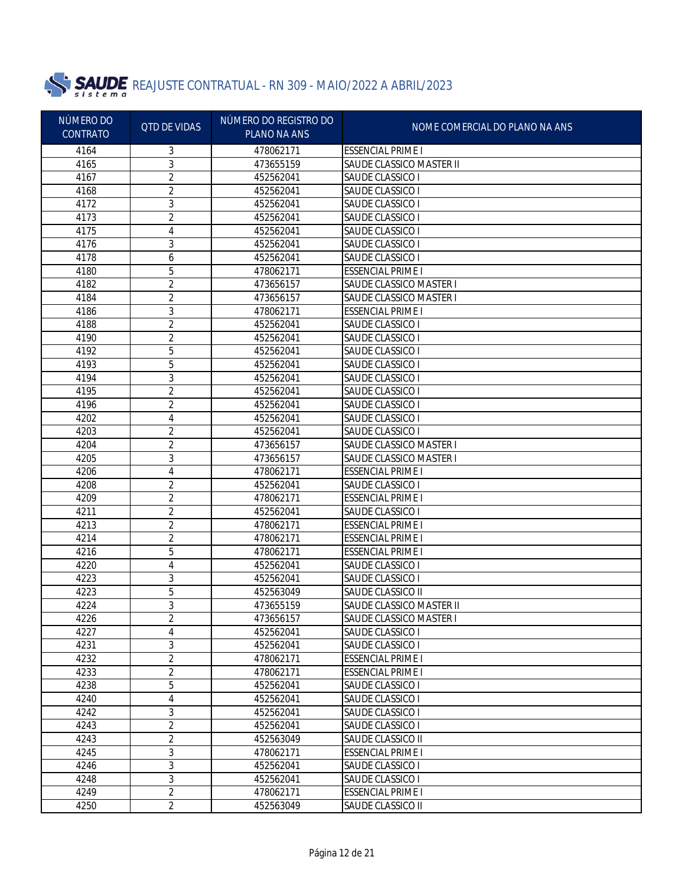

| NÚMERO DO<br><b>CONTRATO</b> | <b>QTD DE VIDAS</b> | NÚMERO DO REGISTRO DO<br>PLANO NA ANS | NOME COMERCIAL DO PLANO NA ANS |
|------------------------------|---------------------|---------------------------------------|--------------------------------|
| 4164                         | 3                   | 478062171                             | <b>ESSENCIAL PRIME I</b>       |
| 4165                         | 3                   | 473655159                             | SAUDE CLASSICO MASTER II       |
| 4167                         | 2                   | 452562041                             | SAUDE CLASSICO I               |
| 4168                         | 2                   | 452562041                             | SAUDE CLASSICO I               |
| 4172                         | 3                   | 452562041                             | SAUDE CLASSICO I               |
| 4173                         | 2                   | 452562041                             | SAUDE CLASSICO I               |
| 4175                         | 4                   | 452562041                             | SAUDE CLASSICO I               |
| 4176                         | 3                   | 452562041                             | SAUDE CLASSICO I               |
| 4178                         | 6                   | 452562041                             | SAUDE CLASSICO I               |
| 4180                         | 5                   | 478062171                             | <b>ESSENCIAL PRIME I</b>       |
| 4182                         | 2                   | 473656157                             | <b>SAUDE CLASSICO MASTER I</b> |
| 4184                         | $\overline{2}$      | 473656157                             | SAUDE CLASSICO MASTER I        |
| 4186                         | 3                   | 478062171                             | <b>ESSENCIAL PRIME I</b>       |
| 4188                         | 2                   | 452562041                             | SAUDE CLASSICO I               |
| 4190                         | 2                   | 452562041                             | SAUDE CLASSICO I               |
| 4192                         | 5                   | 452562041                             | SAUDE CLASSICO I               |
| 4193                         | 5                   | 452562041                             | SAUDE CLASSICO I               |
| 4194                         | 3                   | 452562041                             | SAUDE CLASSICO I               |
| 4195                         | 2                   | 452562041                             | SAUDE CLASSICO I               |
| 4196                         | 2                   | 452562041                             | SAUDE CLASSICO I               |
| 4202                         | 4                   | 452562041                             | SAUDE CLASSICO I               |
| 4203                         | 2                   | 452562041                             | SAUDE CLASSICO I               |
| 4204                         | 2                   | 473656157                             | SAUDE CLASSICO MASTER I        |
| 4205                         | 3                   | 473656157                             | SAUDE CLASSICO MASTER I        |
| 4206                         | 4                   | 478062171                             | <b>ESSENCIAL PRIME I</b>       |
| 4208                         | 2                   | 452562041                             | SAUDE CLASSICO I               |
| 4209                         | $\overline{2}$      | 478062171                             | <b>ESSENCIAL PRIME I</b>       |
| 4211                         | 2                   | 452562041                             | SAUDE CLASSICO I               |
| 4213                         | 2                   | 478062171                             | <b>ESSENCIAL PRIME I</b>       |
| 4214                         | 2                   | 478062171                             | <b>ESSENCIAL PRIME I</b>       |
| 4216                         | 5                   | 478062171                             | <b>ESSENCIAL PRIME I</b>       |
| 4220                         | 4                   | 452562041                             | SAUDE CLASSICO I               |
| 4223                         | 3                   | 452562041                             | SAUDE CLASSICO I               |
| 4223                         | 5                   | 452563049                             | SAUDE CLASSICO II              |
| 4224                         | 3                   | 473655159                             | SAUDE CLASSICO MASTER II       |
| 4226                         | 2                   | 473656157                             | SAUDE CLASSICO MASTER I        |
| 4227                         | 4                   | 452562041                             | SAUDE CLASSICO I               |
| 4231                         | 3                   | 452562041                             | <b>SAUDE CLASSICO I</b>        |
| 4232                         | $\overline{c}$      | 478062171                             | <b>ESSENCIAL PRIME I</b>       |
| 4233                         | 2                   | 478062171                             | <b>ESSENCIAL PRIME I</b>       |
| 4238                         | 5                   | 452562041                             | <b>SAUDE CLASSICO I</b>        |
| 4240                         | 4                   | 452562041                             | SAUDE CLASSICO I               |
| 4242                         | 3                   | 452562041                             | SAUDE CLASSICO I               |
| 4243                         | $\overline{c}$      | 452562041                             | SAUDE CLASSICO I               |
| 4243                         | $\overline{2}$      | 452563049                             | SAUDE CLASSICO II              |
| 4245                         | 3                   | 478062171                             | <b>ESSENCIAL PRIME I</b>       |
| 4246                         | 3                   | 452562041                             | <b>SAUDE CLASSICO I</b>        |
| 4248                         | 3                   | 452562041                             | <b>SAUDE CLASSICO I</b>        |
| 4249                         | $\overline{2}$      | 478062171                             | <b>ESSENCIAL PRIME I</b>       |
| 4250                         | $\overline{2}$      | 452563049                             | SAUDE CLASSICO II              |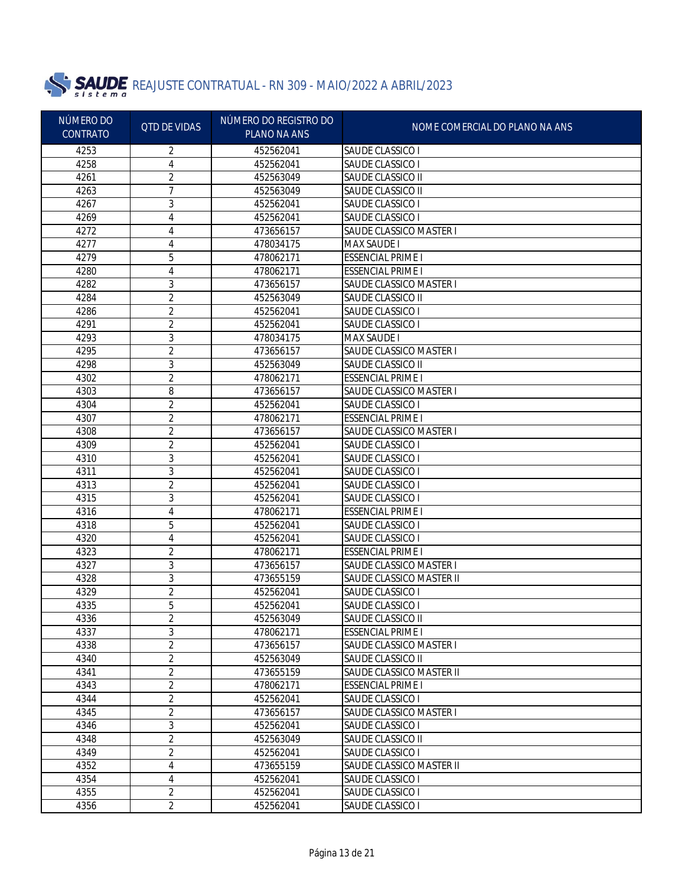

| NÚMERO DO<br><b>QTD DE VIDAS</b> | NÚMERO DO REGISTRO DO | NOME COMERCIAL DO PLANO NA ANS |                                |
|----------------------------------|-----------------------|--------------------------------|--------------------------------|
| <b>CONTRATO</b>                  |                       | PLANO NA ANS                   |                                |
| 4253                             | 2                     | 452562041                      | SAUDE CLASSICO I               |
| 4258                             | 4                     | 452562041                      | SAUDE CLASSICO I               |
| 4261                             | 2                     | 452563049                      | SAUDE CLASSICO II              |
| 4263                             | 7                     | 452563049                      | SAUDE CLASSICO II              |
| 4267                             | 3                     | 452562041                      | SAUDE CLASSICO I               |
| 4269                             | 4                     | 452562041                      | SAUDE CLASSICO I               |
| 4272                             | 4                     | 473656157                      | <b>SAUDE CLASSICO MASTER I</b> |
| 4277                             | 4                     | 478034175                      | <b>MAX SAUDE I</b>             |
| 4279                             | 5                     | 478062171                      | <b>ESSENCIAL PRIME I</b>       |
| 4280                             | 4                     | 478062171                      | <b>ESSENCIAL PRIME I</b>       |
| 4282                             | 3                     | 473656157                      | <b>SAUDE CLASSICO MASTER I</b> |
| 4284                             | 2                     | 452563049                      | SAUDE CLASSICO II              |
| 4286                             | 2                     | 452562041                      | SAUDE CLASSICO I               |
| 4291                             | 2                     | 452562041                      | SAUDE CLASSICO I               |
| 4293                             | 3                     | 478034175                      | <b>MAX SAUDE I</b>             |
| 4295                             | $\overline{2}$        | 473656157                      | <b>SAUDE CLASSICO MASTER I</b> |
| 4298                             | 3                     | 452563049                      | SAUDE CLASSICO II              |
| 4302                             | 2                     | 478062171                      | <b>ESSENCIAL PRIME I</b>       |
| 4303                             | 8                     | 473656157                      | SAUDE CLASSICO MASTER I        |
| 4304                             | 2                     | 452562041                      | SAUDE CLASSICO I               |
| 4307                             | $\overline{2}$        | 478062171                      | <b>ESSENCIAL PRIME I</b>       |
| 4308                             | 2                     | 473656157                      | SAUDE CLASSICO MASTER I        |
| 4309                             | 2                     | 452562041                      | SAUDE CLASSICO I               |
| 4310                             | 3                     | 452562041                      | SAUDE CLASSICO I               |
| 4311                             | 3                     | 452562041                      | SAUDE CLASSICO I               |
| 4313                             | 2                     | 452562041                      | SAUDE CLASSICO I               |
| 4315                             | 3                     | 452562041                      | SAUDE CLASSICO I               |
| 4316                             | 4                     | 478062171                      | <b>ESSENCIAL PRIME I</b>       |
| 4318                             | 5                     | 452562041                      | SAUDE CLASSICO I               |
| 4320                             | 4                     | 452562041                      | SAUDE CLASSICO I               |
| 4323                             | 2                     | 478062171                      | <b>ESSENCIAL PRIME I</b>       |
| 4327                             | 3                     | 473656157                      | SAUDE CLASSICO MASTER I        |
| 4328                             | 3                     | 473655159                      | SAUDE CLASSICO MASTER II       |
| 4329                             | 2                     | 452562041                      | SAUDE CLASSICO I               |
| 4335                             | 5                     | 452562041                      | SAUDE CLASSICO I               |
| 4336                             | 2                     | 452563049                      | SAUDE CLASSICO II              |
| 4337                             | 3                     | 478062171                      | <b>ESSENCIAL PRIME I</b>       |
| 4338                             | $\overline{2}$        | 473656157                      | SAUDE CLASSICO MASTER I        |
| 4340                             | $\overline{c}$        | 452563049                      | SAUDE CLASSICO II              |
| 4341                             | $\overline{2}$        | 473655159                      | SAUDE CLASSICO MASTER II       |
| 4343                             | $\overline{2}$        | 478062171                      | <b>ESSENCIAL PRIME I</b>       |
| 4344                             | $\overline{2}$        | 452562041                      | SAUDE CLASSICO I               |
| 4345                             | $\overline{2}$        | 473656157                      | SAUDE CLASSICO MASTER I        |
| 4346                             | 3                     | 452562041                      | SAUDE CLASSICO I               |
| 4348                             | $\overline{2}$        | 452563049                      | SAUDE CLASSICO II              |
| 4349                             | $\overline{2}$        | 452562041                      | SAUDE CLASSICO I               |
| 4352                             | 4                     | 473655159                      | SAUDE CLASSICO MASTER II       |
| 4354                             | 4                     | 452562041                      | SAUDE CLASSICO I               |
| 4355                             | $\overline{c}$        | 452562041                      | SAUDE CLASSICO I               |
| 4356                             | $\overline{2}$        | 452562041                      | SAUDE CLASSICO I               |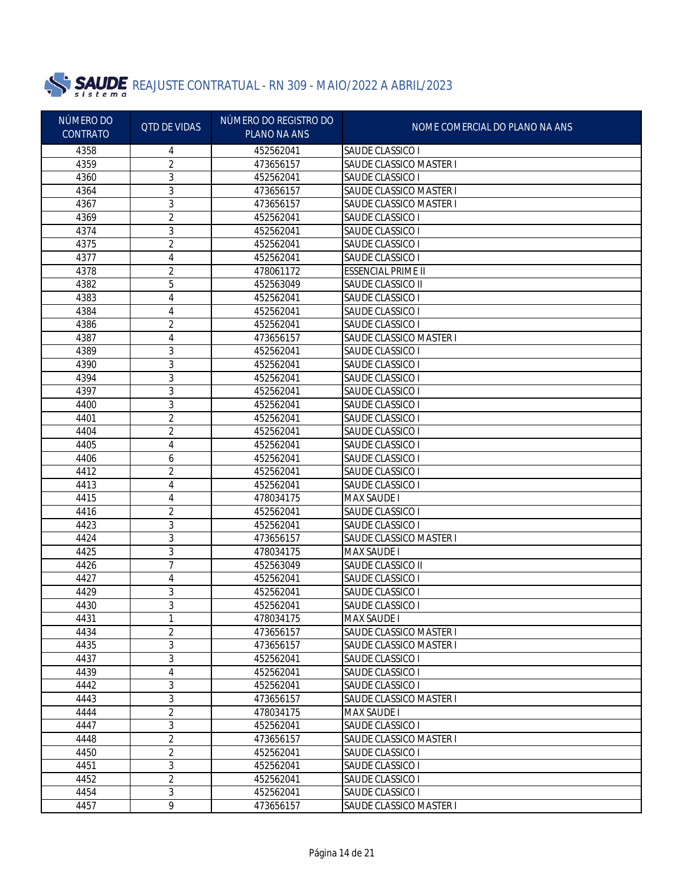

| NÚMERO DO<br><b>CONTRATO</b> | <b>QTD DE VIDAS</b> | NÚMERO DO REGISTRO DO<br>PLANO NA ANS | NOME COMERCIAL DO PLANO NA ANS |
|------------------------------|---------------------|---------------------------------------|--------------------------------|
| 4358                         | 4                   | 452562041                             | SAUDE CLASSICO I               |
| 4359                         | 2                   | 473656157                             | SAUDE CLASSICO MASTER I        |
| 4360                         | 3                   | 452562041                             | SAUDE CLASSICO I               |
| 4364                         | 3                   | 473656157                             | SAUDE CLASSICO MASTER I        |
| 4367                         | 3                   | 473656157                             | SAUDE CLASSICO MASTER I        |
| 4369                         | 2                   | 452562041                             | SAUDE CLASSICO I               |
| 4374                         | 3                   | 452562041                             | SAUDE CLASSICO I               |
| 4375                         | 2                   | 452562041                             | SAUDE CLASSICO I               |
| 4377                         | 4                   | 452562041                             | SAUDE CLASSICO I               |
| 4378                         | 2                   | 478061172                             | <b>ESSENCIAL PRIME II</b>      |
| 4382                         | 5                   | 452563049                             | SAUDE CLASSICO II              |
| 4383                         | 4                   | 452562041                             | SAUDE CLASSICO I               |
| 4384                         | 4                   | 452562041                             | SAUDE CLASSICO I               |
| 4386                         | 2                   | 452562041                             | SAUDE CLASSICO I               |
| 4387                         | 4                   | 473656157                             | <b>SAUDE CLASSICO MASTER I</b> |
| 4389                         | 3                   | 452562041                             | SAUDE CLASSICO I               |
| 4390                         | 3                   | 452562041                             | SAUDE CLASSICO I               |
| 4394                         | 3                   | 452562041                             | SAUDE CLASSICO I               |
| 4397                         | 3                   | 452562041                             | SAUDE CLASSICO I               |
| 4400                         | 3                   | 452562041                             | SAUDE CLASSICO I               |
| 4401                         | 2                   | 452562041                             | SAUDE CLASSICO I               |
| 4404                         | 2                   | 452562041                             | SAUDE CLASSICO I               |
| 4405                         | 4                   | 452562041                             | SAUDE CLASSICO I               |
| 4406                         | 6                   | 452562041                             | SAUDE CLASSICO I               |
| 4412                         | 2                   | 452562041                             | SAUDE CLASSICO I               |
| 4413                         | 4                   | 452562041                             | <b>SAUDE CLASSICO I</b>        |
| 4415                         | 4                   | 478034175                             | <b>MAX SAUDE I</b>             |
| 4416                         | 2                   | 452562041                             | SAUDE CLASSICO I               |
| 4423                         | 3                   | 452562041                             | SAUDE CLASSICO I               |
| 4424                         | 3                   | 473656157                             | SAUDE CLASSICO MASTER I        |
| 4425                         | 3                   | 478034175                             | <b>MAX SAUDE I</b>             |
| 4426                         | 7                   | 452563049                             | SAUDE CLASSICO II              |
| 4427                         | 4                   | 452562041                             | SAUDE CLASSICO I               |
| 4429                         | 3                   | 452562041                             | SAUDE CLASSICO I               |
| 4430                         | 3                   | 452562041                             | SAUDE CLASSICO I               |
| 4431                         | L.                  | 478034175                             | <b>MAX SAUDE I</b>             |
| 4434                         | 2                   | 473656157                             | SAUDE CLASSICO MASTER I        |
| 4435                         | 3                   | 473656157                             | SAUDE CLASSICO MASTER I        |
| 4437                         | 3                   | 452562041                             | SAUDE CLASSICO I               |
| 4439                         | 4                   | 452562041                             | SAUDE CLASSICO I               |
| 4442                         | 3                   | 452562041                             | SAUDE CLASSICO I               |
| 4443                         | 3                   | 473656157                             | <b>SAUDE CLASSICO MASTER I</b> |
| 4444                         | $\overline{2}$      | 478034175                             | <b>MAX SAUDE I</b>             |
| 4447                         | 3                   | 452562041                             | SAUDE CLASSICO I               |
| 4448                         | $\overline{2}$      | 473656157                             | <b>SAUDE CLASSICO MASTER I</b> |
| 4450                         | $\overline{2}$      | 452562041                             | SAUDE CLASSICO I               |
| 4451                         | 3                   | 452562041                             | SAUDE CLASSICO I               |
| 4452                         | $\overline{2}$      | 452562041                             | SAUDE CLASSICO I               |
| 4454                         | 3                   | 452562041                             | SAUDE CLASSICO I               |
| 4457                         | $\overline{9}$      | 473656157                             | SAUDE CLASSICO MASTER I        |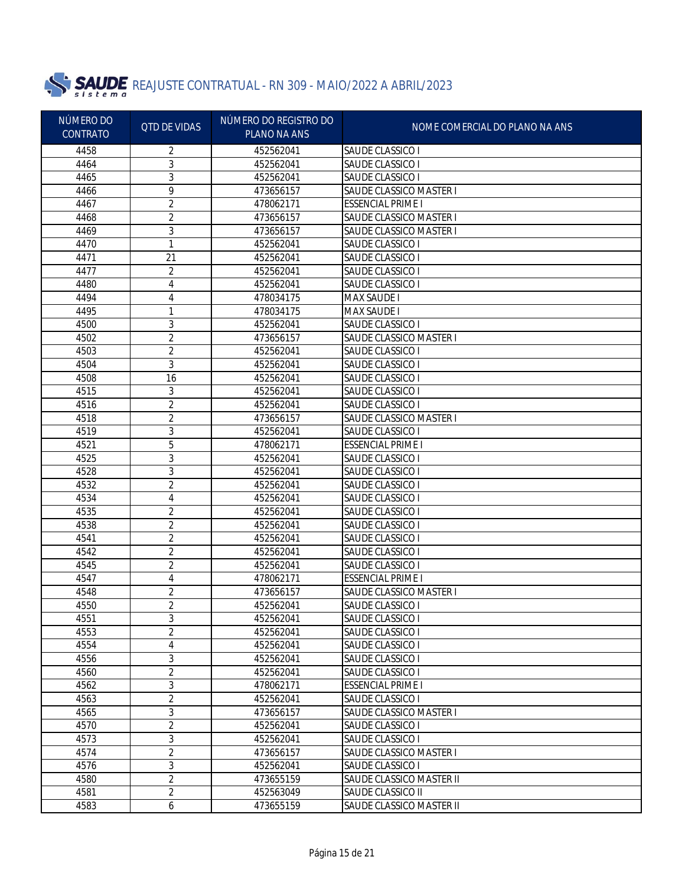

| NÚMERO DO<br><b>CONTRATO</b> | <b>QTD DE VIDAS</b> | NÚMERO DO REGISTRO DO<br>PLANO NA ANS | NOME COMERCIAL DO PLANO NA ANS |
|------------------------------|---------------------|---------------------------------------|--------------------------------|
| 4458                         | 2                   | 452562041                             | SAUDE CLASSICO I               |
| 4464                         | 3                   | 452562041                             | SAUDE CLASSICO I               |
| 4465                         | 3                   | 452562041                             | SAUDE CLASSICO I               |
| 4466                         | 9                   | 473656157                             | SAUDE CLASSICO MASTER I        |
| 4467                         | 2                   | 478062171                             | <b>ESSENCIAL PRIME I</b>       |
| 4468                         | 2                   | 473656157                             | <b>SAUDE CLASSICO MASTER I</b> |
| 4469                         | 3                   | 473656157                             | SAUDE CLASSICO MASTER I        |
| 4470                         | 1                   | 452562041                             | SAUDE CLASSICO I               |
| 4471                         | 21                  | 452562041                             | SAUDE CLASSICO I               |
| 4477                         | 2                   | 452562041                             | SAUDE CLASSICO I               |
| 4480                         | 4                   | 452562041                             | SAUDE CLASSICO I               |
| 4494                         | 4                   | 478034175                             | <b>MAX SAUDE I</b>             |
| 4495                         | 1                   | 478034175                             | <b>MAX SAUDE I</b>             |
| 4500                         | 3                   | 452562041                             | <b>SAUDE CLASSICO I</b>        |
| 4502                         | 2                   | 473656157                             | SAUDE CLASSICO MASTER I        |
| 4503                         | 2                   | 452562041                             | SAUDE CLASSICO I               |
| 4504                         | 3                   | 452562041                             | SAUDE CLASSICO I               |
| 4508                         | 16                  | 452562041                             | SAUDE CLASSICO I               |
| 4515                         | 3                   | 452562041                             | SAUDE CLASSICO I               |
| 4516                         | 2                   | 452562041                             | SAUDE CLASSICO I               |
| 4518                         | 2                   | 473656157                             | <b>SAUDE CLASSICO MASTER I</b> |
| 4519                         | 3                   | 452562041                             | SAUDE CLASSICO I               |
| 4521                         | 5                   | 478062171                             | <b>ESSENCIAL PRIME I</b>       |
| 4525                         | 3                   | 452562041                             | SAUDE CLASSICO I               |
| 4528                         | 3                   | 452562041                             | SAUDE CLASSICO I               |
| 4532                         | $\overline{2}$      | 452562041                             | SAUDE CLASSICO I               |
| 4534                         | 4                   | 452562041                             | SAUDE CLASSICO I               |
| 4535                         | 2                   | 452562041                             | SAUDE CLASSICO I               |
| 4538                         | 2                   | 452562041                             | SAUDE CLASSICO I               |
| 4541                         | 2                   | 452562041                             | SAUDE CLASSICO I               |
| 4542                         | 2                   | 452562041                             | SAUDE CLASSICO I               |
| 4545                         | 2                   | 452562041                             | SAUDE CLASSICO I               |
| 4547                         | 4                   | 478062171                             | <b>ESSENCIAL PRIME I</b>       |
| 4548                         | 2                   | 473656157                             | SAUDE CLASSICO MASTER I        |
| 4550                         | 2                   | 452562041                             | SAUDE CLASSICO I               |
| 4551                         | 3                   | 452562041                             | SAUDE CLASSICO I               |
| 4553                         | 2                   | 452562041                             | SAUDE CLASSICO I               |
| 4554                         | 4                   | 452562041                             | SAUDE CLASSICO I               |
| 4556                         | 3                   | 452562041                             | SAUDE CLASSICO I               |
| 4560                         | 2                   | 452562041                             | SAUDE CLASSICO I               |
| 4562                         | 3                   | 478062171                             | <b>ESSENCIAL PRIME I</b>       |
| 4563                         | $\overline{2}$      | 452562041                             | SAUDE CLASSICO I               |
| 4565                         | 3                   | 473656157                             | <b>SAUDE CLASSICO MASTER I</b> |
| 4570                         | 2                   | 452562041                             | <b>SAUDE CLASSICO I</b>        |
| 4573                         | 3                   | 452562041                             | SAUDE CLASSICO I               |
| 4574                         | $\overline{2}$      | 473656157                             | SAUDE CLASSICO MASTER I        |
| 4576                         | 3                   | 452562041                             | SAUDE CLASSICO I               |
| 4580                         | $\overline{2}$      | 473655159                             | SAUDE CLASSICO MASTER II       |
| 4581                         | $\overline{2}$      | 452563049                             | SAUDE CLASSICO II              |
| 4583                         | 6                   | 473655159                             | SAUDE CLASSICO MASTER II       |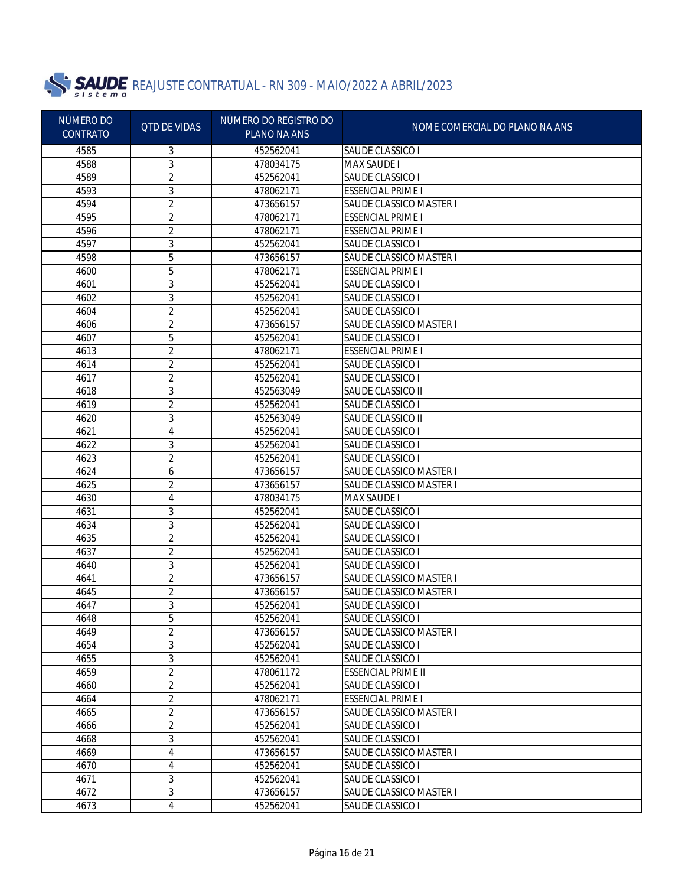

| NÚMERO DO<br><b>CONTRATO</b> | <b>QTD DE VIDAS</b> | NÚMERO DO REGISTRO DO<br>PLANO NA ANS | NOME COMERCIAL DO PLANO NA ANS |
|------------------------------|---------------------|---------------------------------------|--------------------------------|
| 4585                         | 3                   | 452562041                             | SAUDE CLASSICO I               |
| 4588                         | 3                   | 478034175                             | <b>MAX SAUDE I</b>             |
| 4589                         | 2                   | 452562041                             | SAUDE CLASSICO I               |
| 4593                         | 3                   | 478062171                             | <b>ESSENCIAL PRIME I</b>       |
| 4594                         | 2                   | 473656157                             | SAUDE CLASSICO MASTER I        |
| 4595                         | 2                   | 478062171                             | <b>ESSENCIAL PRIME I</b>       |
| 4596                         | 2                   | 478062171                             | <b>ESSENCIAL PRIME I</b>       |
| 4597                         | 3                   | 452562041                             | SAUDE CLASSICO I               |
| 4598                         | 5                   | 473656157                             | <b>SAUDE CLASSICO MASTER I</b> |
| 4600                         | 5                   | 478062171                             | <b>ESSENCIAL PRIME I</b>       |
| 4601                         | 3                   | 452562041                             | SAUDE CLASSICO I               |
| 4602                         | 3                   | 452562041                             | SAUDE CLASSICO I               |
| 4604                         | 2                   | 452562041                             | SAUDE CLASSICO I               |
| 4606                         | 2                   | 473656157                             | <b>SAUDE CLASSICO MASTER I</b> |
| 4607                         | 5                   | 452562041                             | SAUDE CLASSICO I               |
| 4613                         | 2                   | 478062171                             | <b>ESSENCIAL PRIME I</b>       |
| 4614                         | 2                   | 452562041                             | SAUDE CLASSICO I               |
| 4617                         | 2                   | 452562041                             | SAUDE CLASSICO I               |
| 4618                         | 3                   | 452563049                             | SAUDE CLASSICO II              |
| 4619                         | 2                   | 452562041                             | SAUDE CLASSICO I               |
| 4620                         | 3                   | 452563049                             | SAUDE CLASSICO II              |
| 4621                         | 4                   | 452562041                             | SAUDE CLASSICO I               |
| 4622                         | 3                   | 452562041                             | SAUDE CLASSICO I               |
| 4623                         | 2                   | 452562041                             | SAUDE CLASSICO I               |
| 4624                         | 6                   | 473656157                             | SAUDE CLASSICO MASTER I        |
| 4625                         | $\overline{2}$      | 473656157                             | SAUDE CLASSICO MASTER I        |
| 4630                         | 4                   | 478034175                             | <b>MAX SAUDE I</b>             |
| 4631                         | 3                   | 452562041                             | SAUDE CLASSICO I               |
| 4634                         | 3                   | 452562041                             | SAUDE CLASSICO I               |
| 4635                         | 2                   | 452562041                             | SAUDE CLASSICO I               |
| 4637                         | 2                   | 452562041                             | SAUDE CLASSICO I               |
| 4640                         | 3                   | 452562041                             | SAUDE CLASSICO I               |
| 4641                         | 2                   | 473656157                             | SAUDE CLASSICO MASTER I        |
| 4645                         | 2                   | 473656157                             | SAUDE CLASSICO MASTER I        |
| 4647                         | 3                   | 452562041                             | SAUDE CLASSICO I               |
| 4648                         | 5                   | 452562041                             | SAUDE CLASSICO I               |
| 4649                         | 2                   | 473656157                             | SAUDE CLASSICO MASTER I        |
| 4654                         | 3                   | 452562041                             | SAUDE CLASSICO I               |
| 4655                         | 3                   | 452562041                             | SAUDE CLASSICO I               |
| 4659                         | 2                   | 478061172                             | <b>ESSENCIAL PRIME II</b>      |
| 4660                         | 2                   | 452562041                             | SAUDE CLASSICO I               |
| 4664                         | 2                   | 478062171                             | <b>ESSENCIAL PRIME I</b>       |
| 4665                         | 2                   | 473656157                             | <b>SAUDE CLASSICO MASTER I</b> |
| 4666                         | 2                   | 452562041                             | <b>SAUDE CLASSICO I</b>        |
| 4668                         | 3                   | 452562041                             | SAUDE CLASSICO I               |
| 4669                         | 4                   | 473656157                             | SAUDE CLASSICO MASTER I        |
| 4670                         | 4                   | 452562041                             | SAUDE CLASSICO I               |
| 4671                         | 3                   | 452562041                             | SAUDE CLASSICO I               |
| 4672                         | 3                   | 473656157                             | SAUDE CLASSICO MASTER I        |
| 4673                         | 4                   | 452562041                             | SAUDE CLASSICO I               |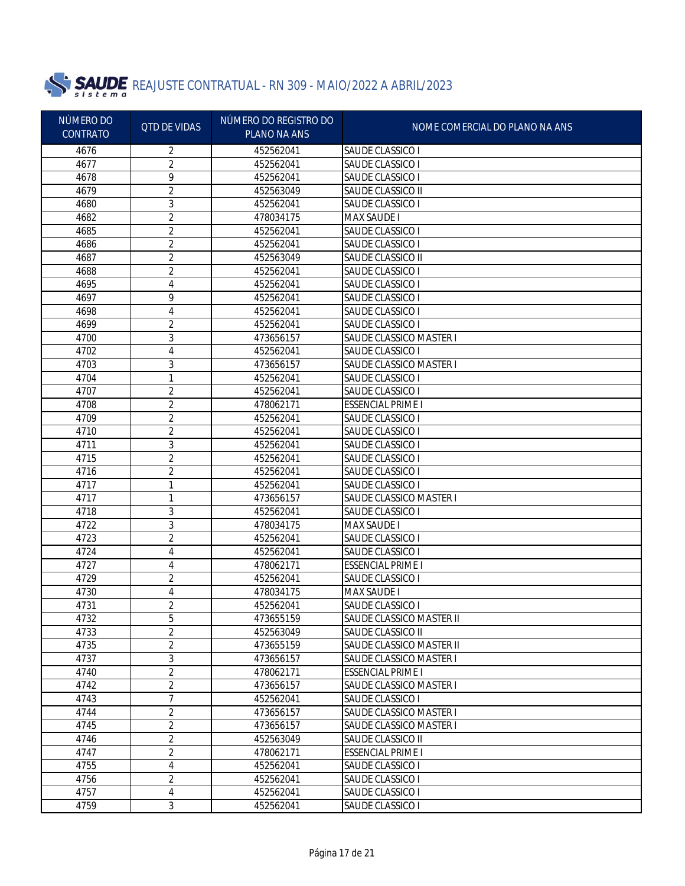

| NÚMERO DO       | <b>QTD DE VIDAS</b> | NÚMERO DO REGISTRO DO | NOME COMERCIAL DO PLANO NA ANS |
|-----------------|---------------------|-----------------------|--------------------------------|
| <b>CONTRATO</b> |                     | PLANO NA ANS          |                                |
| 4676            | 2                   | 452562041             | SAUDE CLASSICO I               |
| 4677            | 2                   | 452562041             | SAUDE CLASSICO I               |
| 4678            | 9                   | 452562041             | SAUDE CLASSICO I               |
| 4679            | $\overline{2}$      | 452563049             | SAUDE CLASSICO II              |
| 4680            | 3                   | 452562041             | SAUDE CLASSICO I               |
| 4682            | $\overline{2}$      | 478034175             | <b>MAX SAUDE I</b>             |
| 4685            | 2                   | 452562041             | SAUDE CLASSICO I               |
| 4686            | 2                   | 452562041             | SAUDE CLASSICO I               |
| 4687            | 2                   | 452563049             | SAUDE CLASSICO II              |
| 4688            | 2                   | 452562041             | SAUDE CLASSICO I               |
| 4695            | 4                   | 452562041             | SAUDE CLASSICO I               |
| 4697            | 9                   | 452562041             | SAUDE CLASSICO I               |
| 4698            | 4                   | 452562041             | SAUDE CLASSICO I               |
| 4699            | 2                   | 452562041             | SAUDE CLASSICO I               |
| 4700            | 3                   | 473656157             | <b>SAUDE CLASSICO MASTER I</b> |
| 4702            | 4                   | 452562041             | SAUDE CLASSICO I               |
| 4703            | 3                   | 473656157             | <b>SAUDE CLASSICO MASTER I</b> |
| 4704            | 1                   | 452562041             | SAUDE CLASSICO I               |
| 4707            | 2                   | 452562041             | SAUDE CLASSICO I               |
| 4708            | 2                   | 478062171             | <b>ESSENCIAL PRIME I</b>       |
| 4709            | 2                   | 452562041             | SAUDE CLASSICO I               |
| 4710            | 2                   | 452562041             | SAUDE CLASSICO I               |
| 4711            | 3                   | 452562041             | SAUDE CLASSICO I               |
| 4715            | 2                   | 452562041             | SAUDE CLASSICO I               |
| 4716            | 2                   | 452562041             | SAUDE CLASSICO I               |
| 4717            | 1                   | 452562041             | SAUDE CLASSICO I               |
| 4717            | 1                   | 473656157             | <b>SAUDE CLASSICO MASTER I</b> |
| 4718            | 3                   | 452562041             | SAUDE CLASSICO I               |
| 4722            | 3                   | 478034175             | <b>MAX SAUDE I</b>             |
| 4723            | $\overline{2}$      | 452562041             | SAUDE CLASSICO I               |
| 4724            | 4                   | 452562041             | SAUDE CLASSICO I               |
| 4727            | 4                   | 478062171             | <b>ESSENCIAL PRIME I</b>       |
| 4729            | 2                   | 452562041             | SAUDE CLASSICO I               |
| 4730            | 4                   | 478034175             | MAX SAUDE I                    |
| 4731            | 2                   | 452562041             | SAUDE CLASSICO I               |
| 4732            | 5                   | 473655159             | SAUDE CLASSICO MASTER II       |
| 4733            | $\overline{2}$      | 452563049             | SAUDE CLASSICO II              |
| 4735            | 2                   | 473655159             | SAUDE CLASSICO MASTER II       |
| 4737            | 3                   | 473656157             | SAUDE CLASSICO MASTER I        |
| 4740            | 2                   | 478062171             | <b>ESSENCIAL PRIME I</b>       |
| 4742            | 2                   | 473656157             | <b>SAUDE CLASSICO MASTER I</b> |
| 4743            | 7                   | 452562041             | SAUDE CLASSICO I               |
| 4744            | 2                   | 473656157             | <b>SAUDE CLASSICO MASTER I</b> |
| 4745            | 2                   | 473656157             | SAUDE CLASSICO MASTER I        |
| 4746            | 2                   | 452563049             | SAUDE CLASSICO II              |
| 4747            | 2                   | 478062171             | <b>ESSENCIAL PRIME I</b>       |
| 4755            | 4                   | 452562041             | SAUDE CLASSICO I               |
| 4756            | 2                   | 452562041             | SAUDE CLASSICO I               |
| 4757            | 4                   | 452562041             | SAUDE CLASSICO I               |
| 4759            | 3                   | 452562041             | SAUDE CLASSICO I               |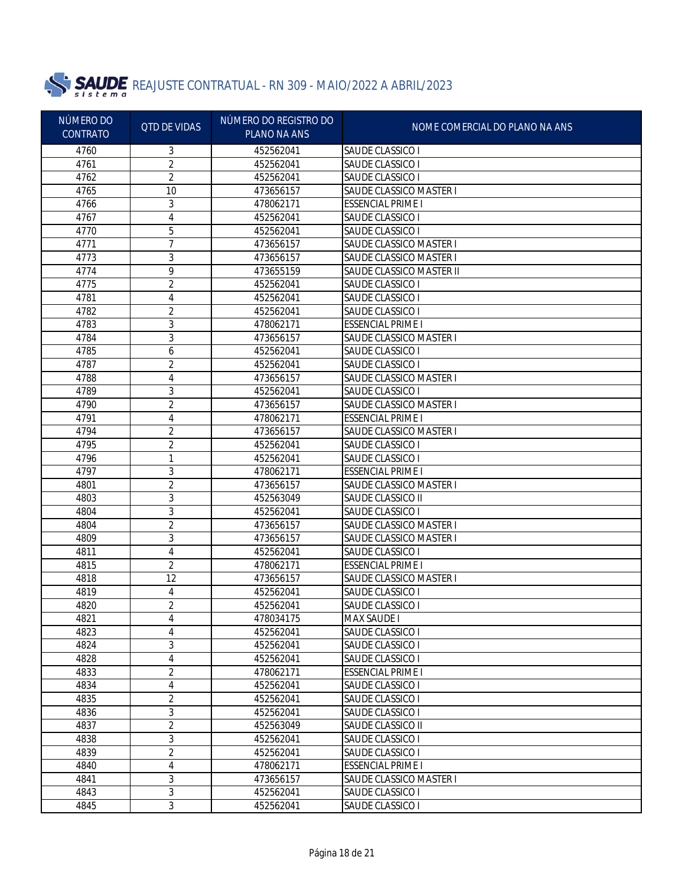

| NÚMERO DO       | <b>QTD DE VIDAS</b> | NÚMERO DO REGISTRO DO | NOME COMERCIAL DO PLANO NA ANS |
|-----------------|---------------------|-----------------------|--------------------------------|
| <b>CONTRATO</b> |                     | <b>PLANO NA ANS</b>   |                                |
| 4760            | 3                   | 452562041             | SAUDE CLASSICO I               |
| 4761            | 2                   | 452562041             | SAUDE CLASSICO I               |
| 4762            | 2                   | 452562041             | SAUDE CLASSICO I               |
| 4765            | 10                  | 473656157             | SAUDE CLASSICO MASTER I        |
| 4766            | 3                   | 478062171             | <b>ESSENCIAL PRIME I</b>       |
| 4767            | 4                   | 452562041             | SAUDE CLASSICO I               |
| 4770            | 5                   | 452562041             | SAUDE CLASSICO I               |
| 4771            | 7                   | 473656157             | SAUDE CLASSICO MASTER I        |
| 4773            | 3                   | 473656157             | <b>SAUDE CLASSICO MASTER I</b> |
| 4774            | 9                   | 473655159             | SAUDE CLASSICO MASTER II       |
| 4775            | 2                   | 452562041             | SAUDE CLASSICO I               |
| 4781            | 4                   | 452562041             | SAUDE CLASSICO I               |
| 4782            | 2                   | 452562041             | SAUDE CLASSICO I               |
| 4783            | 3                   | 478062171             | <b>ESSENCIAL PRIME I</b>       |
| 4784            | 3                   | 473656157             | SAUDE CLASSICO MASTER I        |
| 4785            | 6                   | 452562041             | SAUDE CLASSICO I               |
| 4787            | 2                   | 452562041             | SAUDE CLASSICO I               |
| 4788            | 4                   | 473656157             | <b>SAUDE CLASSICO MASTER I</b> |
| 4789            | 3                   | 452562041             | SAUDE CLASSICO I               |
| 4790            | 2                   | 473656157             | SAUDE CLASSICO MASTER I        |
| 4791            | 4                   | 478062171             | <b>ESSENCIAL PRIME I</b>       |
| 4794            | 2                   | 473656157             | SAUDE CLASSICO MASTER I        |
| 4795            | 2                   | 452562041             | SAUDE CLASSICO I               |
| 4796            | 1                   | 452562041             | SAUDE CLASSICO I               |
| 4797            | 3                   | 478062171             | <b>ESSENCIAL PRIME I</b>       |
| 4801            | 2                   | 473656157             | SAUDE CLASSICO MASTER I        |
| 4803            | 3                   | 452563049             | SAUDE CLASSICO II              |
| 4804            | 3                   | 452562041             | SAUDE CLASSICO I               |
| 4804            | 2                   | 473656157             | SAUDE CLASSICO MASTER I        |
| 4809            | 3                   | 473656157             | SAUDE CLASSICO MASTER I        |
| 4811            | 4                   | 452562041             | SAUDE CLASSICO I               |
| 4815            | 2                   | 478062171             | <b>ESSENCIAL PRIME I</b>       |
| 4818            | 12                  | 473656157             | SAUDE CLASSICO MASTER I        |
| 4819            | 4                   | 452562041             | SAUDE CLASSICO I               |
| 4820            | 2                   | 452562041             | SAUDE CLASSICO I               |
| 4821            | 4                   | 478034175             | MAX SAUDE I                    |
| 4823            | 4                   | 452562041             | SAUDE CLASSICO I               |
| 4824            | 3                   | 452562041             | <b>SAUDE CLASSICO I</b>        |
| 4828            | 4                   | 452562041             | <b>SAUDE CLASSICO I</b>        |
| 4833            | $\overline{2}$      | 478062171             | <b>ESSENCIAL PRIME I</b>       |
| 4834            | 4                   | 452562041             | <b>SAUDE CLASSICO I</b>        |
| 4835            | $\overline{2}$      | 452562041             | SAUDE CLASSICO I               |
| 4836            | 3                   | 452562041             | SAUDE CLASSICO I               |
| 4837            | $\overline{2}$      | 452563049             | SAUDE CLASSICO II              |
| 4838            | 3                   | 452562041             | <b>SAUDE CLASSICO I</b>        |
| 4839            | $\sqrt{2}$          | 452562041             | SAUDE CLASSICO I               |
| 4840            | 4                   | 478062171             | <b>ESSENCIAL PRIME I</b>       |
| 4841            | 3                   | 473656157             | SAUDE CLASSICO MASTER I        |
| 4843            | 3                   | 452562041             | SAUDE CLASSICO I               |
| 4845            | $\overline{3}$      | 452562041             | SAUDE CLASSICO I               |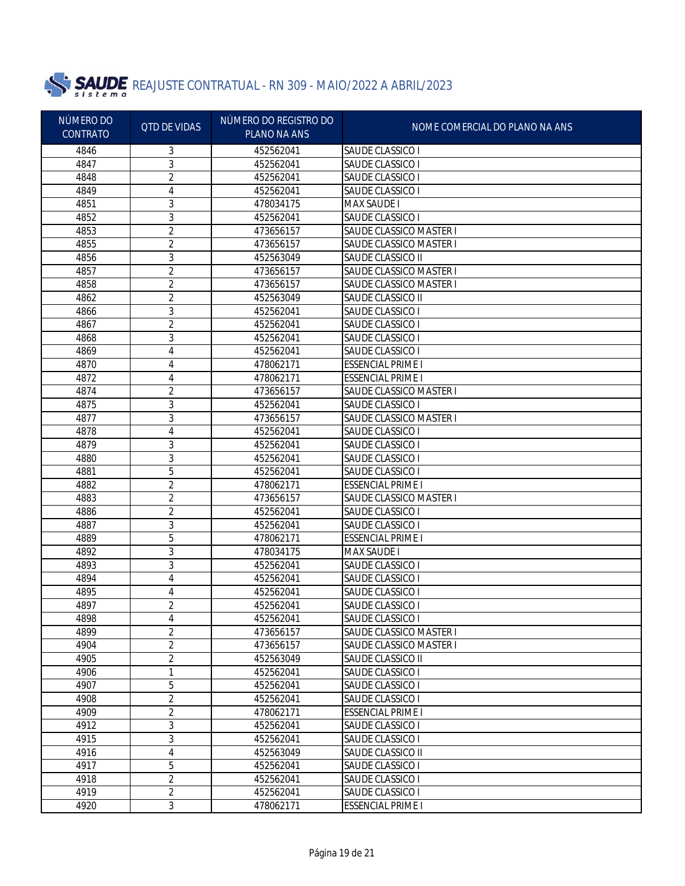

| NÚMERO DO<br><b>QTD DE VIDAS</b> | NÚMERO DO REGISTRO DO | NOME COMERCIAL DO PLANO NA ANS |                                |
|----------------------------------|-----------------------|--------------------------------|--------------------------------|
| <b>CONTRATO</b>                  |                       | PLANO NA ANS                   |                                |
| 4846                             | 3                     | 452562041                      | SAUDE CLASSICO I               |
| 4847                             | 3                     | 452562041                      | SAUDE CLASSICO I               |
| 4848                             | 2                     | 452562041                      | SAUDE CLASSICO I               |
| 4849                             | 4                     | 452562041                      | SAUDE CLASSICO I               |
| 4851                             | 3                     | 478034175                      | <b>MAX SAUDE I</b>             |
| 4852                             | 3                     | 452562041                      | SAUDE CLASSICO I               |
| 4853                             | 2                     | 473656157                      | <b>SAUDE CLASSICO MASTER I</b> |
| 4855                             | 2                     | 473656157                      | <b>SAUDE CLASSICO MASTER I</b> |
| 4856                             | 3                     | 452563049                      | SAUDE CLASSICO II              |
| 4857                             | 2                     | 473656157                      | <b>SAUDE CLASSICO MASTER I</b> |
| 4858                             | 2                     | 473656157                      | SAUDE CLASSICO MASTER I        |
| 4862                             | 2                     | 452563049                      | SAUDE CLASSICO II              |
| 4866                             | 3                     | 452562041                      | SAUDE CLASSICO I               |
| 4867                             | 2                     | 452562041                      | SAUDE CLASSICO I               |
| 4868                             | 3                     | 452562041                      | SAUDE CLASSICO I               |
| 4869                             | 4                     | 452562041                      | SAUDE CLASSICO I               |
| 4870                             | 4                     | 478062171                      | <b>ESSENCIAL PRIME I</b>       |
| 4872                             | 4                     | 478062171                      | <b>ESSENCIAL PRIME I</b>       |
| 4874                             | 2                     | 473656157                      | SAUDE CLASSICO MASTER I        |
| 4875                             | 3                     | 452562041                      | SAUDE CLASSICO I               |
| 4877                             | 3                     | 473656157                      | SAUDE CLASSICO MASTER I        |
| 4878                             | 4                     | 452562041                      | SAUDE CLASSICO I               |
| 4879                             | 3                     | 452562041                      | SAUDE CLASSICO I               |
| 4880                             | 3                     | 452562041                      | SAUDE CLASSICO I               |
| 4881                             | 5                     | 452562041                      | SAUDE CLASSICO I               |
| 4882                             | 2                     | 478062171                      | <b>ESSENCIAL PRIME I</b>       |
| 4883                             | 2                     | 473656157                      | SAUDE CLASSICO MASTER I        |
| 4886                             | 2                     | 452562041                      | SAUDE CLASSICO I               |
| 4887                             | 3                     | 452562041                      | SAUDE CLASSICO I               |
| 4889                             | 5                     | 478062171                      | <b>ESSENCIAL PRIME I</b>       |
| 4892                             | 3                     | 478034175                      | <b>MAX SAUDE I</b>             |
| 4893                             | 3                     | 452562041                      | SAUDE CLASSICO I               |
| 4894                             | 4                     | 452562041                      | SAUDE CLASSICO I               |
| 4895                             | 4                     | 452562041                      | SAUDE CLASSICO I               |
| 4897                             | 2                     | 452562041                      | SAUDE CLASSICO I               |
| 4898                             | 4                     | 452562041                      | SAUDE CLASSICO I               |
| 4899                             | 2                     | 473656157                      | SAUDE CLASSICO MASTER I        |
| 4904                             | $\overline{2}$        | 473656157                      | SAUDE CLASSICO MASTER I        |
| 4905                             | $\overline{2}$        | 452563049                      | SAUDE CLASSICO II              |
| 4906                             | 1                     | 452562041                      | SAUDE CLASSICO I               |
| 4907                             | 5                     | 452562041                      | SAUDE CLASSICO I               |
| 4908                             | $\overline{2}$        | 452562041                      | SAUDE CLASSICO I               |
| 4909                             | $\overline{2}$        | 478062171                      | <b>ESSENCIAL PRIME I</b>       |
| 4912                             | 3                     | 452562041                      | <b>SAUDE CLASSICO I</b>        |
| 4915                             | $\overline{3}$        | 452562041                      | <b>SAUDE CLASSICO I</b>        |
| 4916                             | 4                     | 452563049                      | SAUDE CLASSICO II              |
| 4917                             | 5                     | 452562041                      | SAUDE CLASSICO I               |
| 4918                             | $\overline{2}$        | 452562041                      | SAUDE CLASSICO I               |
| 4919                             | $\overline{2}$        | 452562041                      | SAUDE CLASSICO I               |
| 4920                             | $\overline{3}$        | 478062171                      | <b>ESSENCIAL PRIME I</b>       |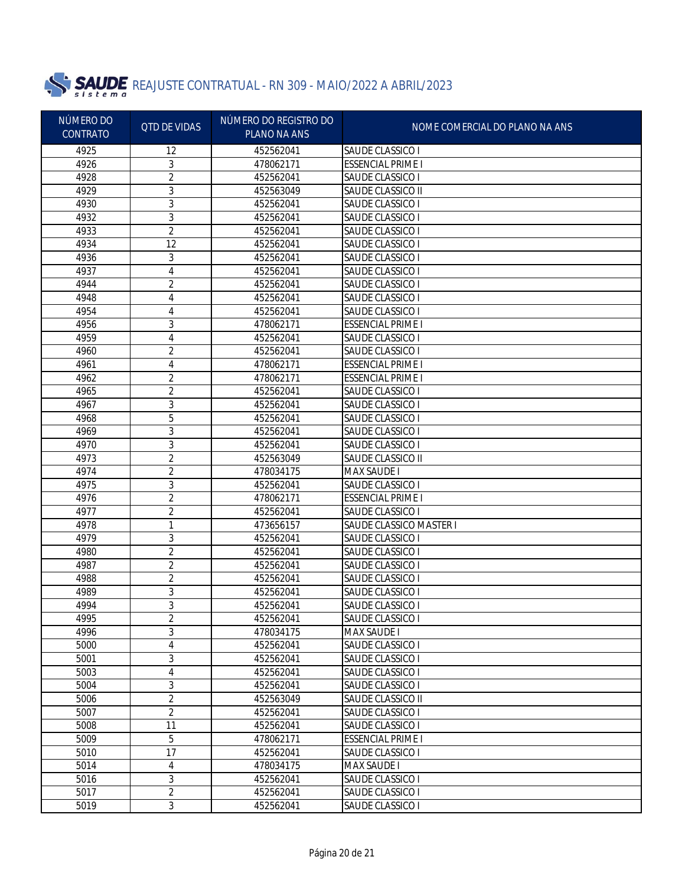

| NÚMERO DO<br>CONTRATO | <b>QTD DE VIDAS</b> | NÚMERO DO REGISTRO DO<br>PLANO NA ANS | NOME COMERCIAL DO PLANO NA ANS |
|-----------------------|---------------------|---------------------------------------|--------------------------------|
| 4925                  | 12                  | 452562041                             | <b>SAUDE CLASSICO I</b>        |
| 4926                  | 3                   | 478062171                             | <b>ESSENCIAL PRIME I</b>       |
| 4928                  | $\overline{2}$      | 452562041                             | SAUDE CLASSICO I               |
| 4929                  | 3                   | 452563049                             | SAUDE CLASSICO II              |
| 4930                  | 3                   | 452562041                             | SAUDE CLASSICO I               |
| 4932                  | 3                   | 452562041                             | SAUDE CLASSICO I               |
| 4933                  | 2                   | 452562041                             | SAUDE CLASSICO I               |
| 4934                  | 12                  | 452562041                             | SAUDE CLASSICO I               |
| 4936                  | 3                   | 452562041                             | SAUDE CLASSICO I               |
| 4937                  | 4                   | 452562041                             | SAUDE CLASSICO I               |
| 4944                  | 2                   | 452562041                             | SAUDE CLASSICO I               |
| 4948                  | 4                   | 452562041                             | SAUDE CLASSICO I               |
| 4954                  | 4                   | 452562041                             | SAUDE CLASSICO I               |
| 4956                  | 3                   | 478062171                             | <b>ESSENCIAL PRIME I</b>       |
| 4959                  | 4                   | 452562041                             | SAUDE CLASSICO I               |
| 4960                  | 2                   | 452562041                             | SAUDE CLASSICO I               |
| 4961                  | 4                   | 478062171                             | <b>ESSENCIAL PRIME I</b>       |
| 4962                  | 2                   | 478062171                             | <b>ESSENCIAL PRIME I</b>       |
| 4965                  | $\overline{2}$      | 452562041                             | SAUDE CLASSICO I               |
| 4967                  | 3                   | 452562041                             | SAUDE CLASSICO I               |
| 4968                  | 5                   | 452562041                             | SAUDE CLASSICO I               |
| 4969                  | 3                   | 452562041                             | SAUDE CLASSICO I               |
| 4970                  | 3                   | 452562041                             | SAUDE CLASSICO I               |
| 4973                  | 2                   | 452563049                             | SAUDE CLASSICO II              |
| 4974                  | 2                   | 478034175                             | <b>MAX SAUDE I</b>             |
| 4975                  | 3                   | 452562041                             | SAUDE CLASSICO I               |
| 4976                  | 2                   | 478062171                             | <b>ESSENCIAL PRIME I</b>       |
| 4977                  | 2                   | 452562041                             | SAUDE CLASSICO I               |
| 4978                  | 1                   | 473656157                             | <b>SAUDE CLASSICO MASTER I</b> |
| 4979                  | 3                   | 452562041                             | SAUDE CLASSICO I               |
| 4980                  | $\overline{2}$      | 452562041                             | SAUDE CLASSICO I               |
| 4987                  | 2                   | 452562041                             | SAUDE CLASSICO I               |
| 4988                  | 2                   | 452562041                             | SAUDE CLASSICO I               |
| 4989                  | 3                   | 452562041                             | SAUDE CLASSICO I               |
| 4994                  | 3                   | 452562041                             | SAUDE CLASSICO I               |
| 4995                  | 2                   | 452562041                             | SAUDE CLASSICO I               |
| 4996                  | 3                   | 478034175                             | <b>MAX SAUDE I</b>             |
| 5000                  | 4                   | 452562041                             | SAUDE CLASSICO I               |
| 5001                  | 3                   | 452562041                             | SAUDE CLASSICO I               |
| 5003                  | 4                   | 452562041                             | SAUDE CLASSICO I               |
| 5004                  | 3                   | 452562041                             | SAUDE CLASSICO I               |
| 5006                  | 2                   | 452563049                             | SAUDE CLASSICO II              |
| 5007                  | 2                   | 452562041                             | SAUDE CLASSICO I               |
| 5008                  | 11                  | 452562041                             | SAUDE CLASSICO I               |
| 5009                  | 5                   | 478062171                             | <b>ESSENCIAL PRIME I</b>       |
| 5010                  | 17                  | 452562041                             | SAUDE CLASSICO I               |
| 5014                  | 4                   | 478034175                             | <b>MAX SAUDE I</b>             |
| 5016                  | 3                   | 452562041                             | SAUDE CLASSICO I               |
| 5017                  | $\overline{2}$      | 452562041                             | SAUDE CLASSICO I               |
| 5019                  | $\mathfrak{Z}$      | 452562041                             | SAUDE CLASSICO I               |